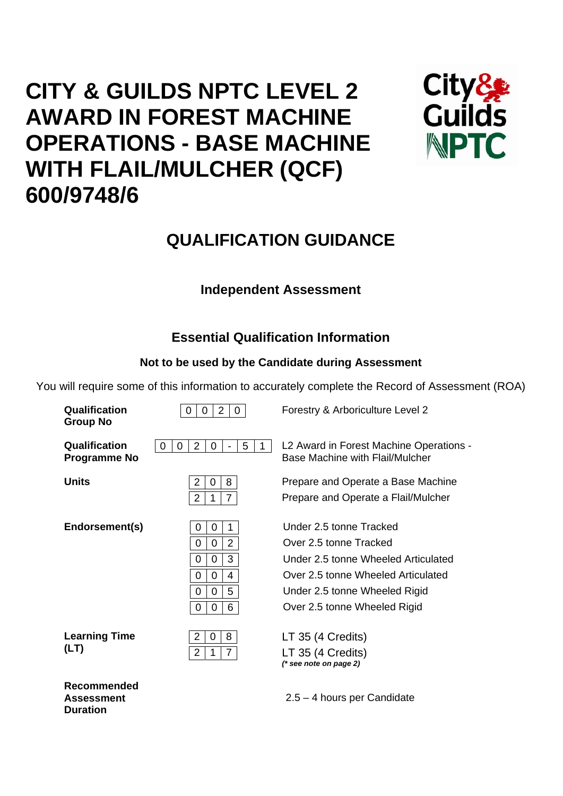# **CITY & GUILDS NPTC LEVEL 2 AWARD IN FOREST MACHINE OPERATIONS - BASE MACHINE WITH FLAIL/MULCHER (QCF) 600/9748/6**



## **QUALIFICATION GUIDANCE**

## **Independent Assessment**

## **Essential Qualification Information**

## **Not to be used by the Candidate during Assessment**

You will require some of this information to accurately complete the Record of Assessment (ROA)

| Qualification<br><b>Group No</b>                    | 2<br>$\mathbf{0}$<br>$\mathbf 0$<br>0                                                                                                             | Forestry & Arboriculture Level 2                                                                                                                                                                |
|-----------------------------------------------------|---------------------------------------------------------------------------------------------------------------------------------------------------|-------------------------------------------------------------------------------------------------------------------------------------------------------------------------------------------------|
| Qualification<br><b>Programme No</b>                | 2<br>5<br>0<br>0<br>0                                                                                                                             | L2 Award in Forest Machine Operations -<br>Base Machine with Flail/Mulcher                                                                                                                      |
| Units                                               | $\overline{2}$<br>8<br>0<br>$\overline{2}$<br>$\overline{7}$<br>1                                                                                 | Prepare and Operate a Base Machine<br>Prepare and Operate a Flail/Mulcher                                                                                                                       |
| Endorsement(s)                                      | 1<br>0<br>0<br>$\overline{2}$<br>0<br>0<br>3<br>$\overline{0}$<br>0<br>$\mathbf 0$<br>4<br>0<br>5<br>$\overline{0}$<br>0<br>6<br>0<br>$\mathbf 0$ | Under 2.5 tonne Tracked<br>Over 2.5 tonne Tracked<br>Under 2.5 tonne Wheeled Articulated<br>Over 2.5 tonne Wheeled Articulated<br>Under 2.5 tonne Wheeled Rigid<br>Over 2.5 tonne Wheeled Rigid |
| <b>Learning Time</b><br>(LT)                        | 2<br>0<br>8<br>$\overline{7}$<br>$\overline{2}$<br>1                                                                                              | LT 35 (4 Credits)<br>LT 35 (4 Credits)<br>$(*$ see note on page 2)                                                                                                                              |
| Recommended<br><b>Assessment</b><br><b>Duration</b> |                                                                                                                                                   | $2.5 - 4$ hours per Candidate                                                                                                                                                                   |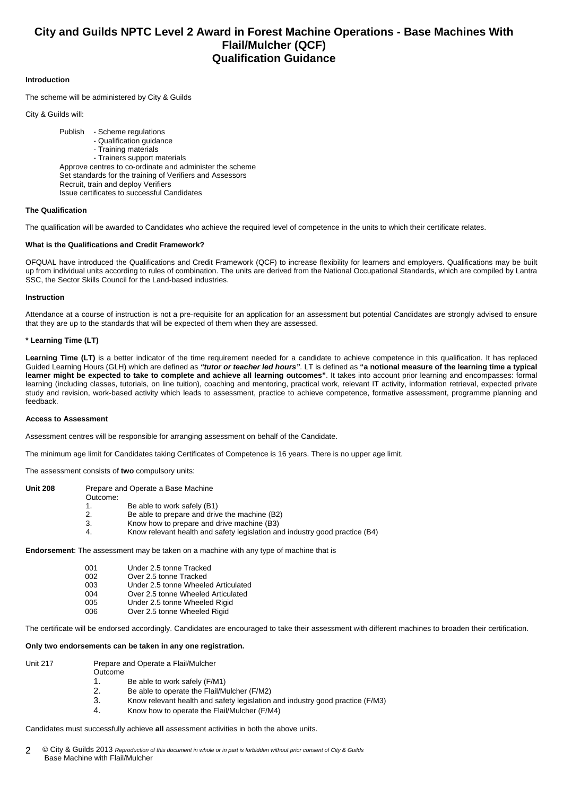### **City and Guilds NPTC Level 2 Award in Forest Machine Operations - Base Machines With Flail/Mulcher (QCF) Qualification Guidance**

#### **Introduction**

The scheme will be administered by City & Guilds

City & Guilds will:

 Publish - Scheme regulations - Qualification guidance - Training materials - Trainers support materials Approve centres to co-ordinate and administer the scheme Set standards for the training of Verifiers and Assessors Recruit, train and deploy Verifiers Issue certificates to successful Candidates

#### **The Qualification**

The qualification will be awarded to Candidates who achieve the required level of competence in the units to which their certificate relates.

#### **What is the Qualifications and Credit Framework?**

OFQUAL have introduced the Qualifications and Credit Framework (QCF) to increase flexibility for learners and employers. Qualifications may be built up from individual units according to rules of combination. The units are derived from the National Occupational Standards, which are compiled by Lantra SSC, the Sector Skills Council for the Land-based industries.

#### **Instruction**

Attendance at a course of instruction is not a pre-requisite for an application for an assessment but potential Candidates are strongly advised to ensure that they are up to the standards that will be expected of them when they are assessed.

#### **\* Learning Time (LT)**

Learning Time (LT) is a better indicator of the time requirement needed for a candidate to achieve competence in this qualification. It has replaced Guided Learning Hours (GLH) which are defined as *"tutor or teacher led hours"*. LT is defined as **"a notional measure of the learning time a typical learner might be expected to take to complete and achieve all learning outcomes"**. It takes into account prior learning and encompasses: formal learning (including classes, tutorials, on line tuition), coaching and mentoring, practical work, relevant IT activity, information retrieval, expected private study and revision, work-based activity which leads to assessment, practice to achieve competence, formative assessment, programme planning and feedback.

#### **Access to Assessment**

Assessment centres will be responsible for arranging assessment on behalf of the Candidate.

The minimum age limit for Candidates taking Certificates of Competence is 16 years. There is no upper age limit.

The assessment consists of **two** compulsory units:

| Unit 208 | Outcome: | Prepare and Operate a Base Machine                                                                                        |
|----------|----------|---------------------------------------------------------------------------------------------------------------------------|
|          | 2.       | Be able to work safely (B1)<br>Be able to prepare and drive the machine (B2)                                              |
|          | 3.<br>4. | Know how to prepare and drive machine (B3)<br>Know relevant health and safety legislation and industry good practice (B4) |

**Endorsement**: The assessment may be taken on a machine with any type of machine that is

| 001 | Under 2.5 tonne Tracked             |
|-----|-------------------------------------|
| 002 | Over 2.5 tonne Tracked              |
| 003 | Under 2.5 tonne Wheeled Articulated |
| 004 | Over 2.5 tonne Wheeled Articulated  |
| 005 | Under 2.5 tonne Wheeled Rigid       |
| 006 | Over 2.5 tonne Wheeled Rigid        |

The certificate will be endorsed accordingly. Candidates are encouraged to take their assessment with different machines to broaden their certification.

#### **Only two endorsements can be taken in any one registration.**

- 
- Unit 217 Prepare and Operate a Flail/Mulcher Outcome
	- 1. Be able to work safely (F/M1)
	- 2. Be able to operate the Flail/Mulcher (F/M2)
	- 3. Know relevant health and safety legislation and industry good practice (F/M3)
	- 4. Know how to operate the Flail/Mulcher (F/M4)

Candidates must successfully achieve **all** assessment activities in both the above units.

© City & Guilds 2013 *Reproduction of this document in whole or in part is forbidden without prior consent of City & Guilds*  Base Machine with Flail/Mulcher 2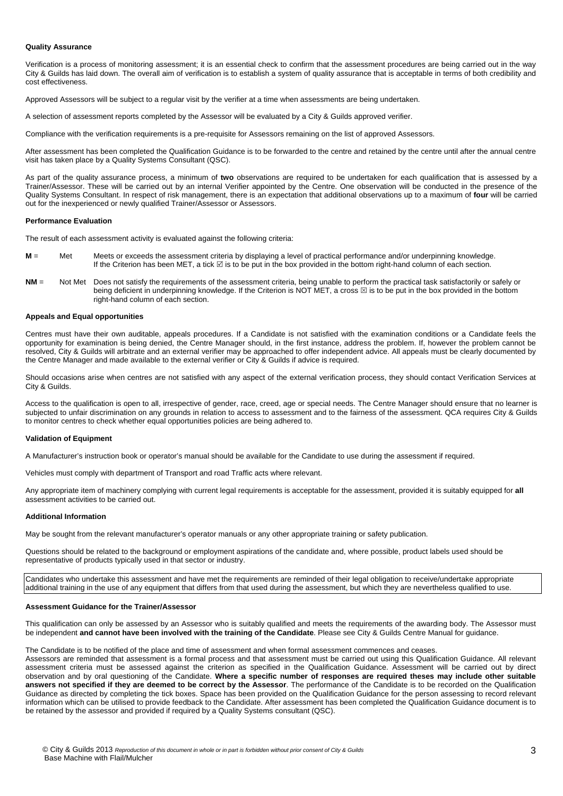#### **Quality Assurance**

Verification is a process of monitoring assessment; it is an essential check to confirm that the assessment procedures are being carried out in the way City & Guilds has laid down. The overall aim of verification is to establish a system of quality assurance that is acceptable in terms of both credibility and cost effectiveness.

Approved Assessors will be subject to a regular visit by the verifier at a time when assessments are being undertaken.

A selection of assessment reports completed by the Assessor will be evaluated by a City & Guilds approved verifier.

Compliance with the verification requirements is a pre-requisite for Assessors remaining on the list of approved Assessors.

After assessment has been completed the Qualification Guidance is to be forwarded to the centre and retained by the centre until after the annual centre visit has taken place by a Quality Systems Consultant (QSC).

As part of the quality assurance process, a minimum of **two** observations are required to be undertaken for each qualification that is assessed by a Trainer/Assessor. These will be carried out by an internal Verifier appointed by the Centre. One observation will be conducted in the presence of the Quality Systems Consultant. In respect of risk management, there is an expectation that additional observations up to a maximum of **four** will be carried out for the inexperienced or newly qualified Trainer/Assessor or Assessors.

#### **Performance Evaluation**

The result of each assessment activity is evaluated against the following criteria:

- **M** = Met Meets or exceeds the assessment criteria by displaying a level of practical performance and/or underpinning knowledge. If the Criterion has been MET, a tick  $\boxtimes$  is to be put in the box provided in the bottom right-hand column of each section.
- **NM** = Not Met Does not satisfy the requirements of the assessment criteria, being unable to perform the practical task satisfactorily or safely or being deficient in underpinning knowledge. If the Criterion is NOT MET, a cross  $\boxtimes$  is to be put in the box provided in the bottom right-hand column of each section.

#### **Appeals and Equal opportunities**

Centres must have their own auditable, appeals procedures. If a Candidate is not satisfied with the examination conditions or a Candidate feels the opportunity for examination is being denied, the Centre Manager should, in the first instance, address the problem. If, however the problem cannot be resolved, City & Guilds will arbitrate and an external verifier may be approached to offer independent advice. All appeals must be clearly documented by the Centre Manager and made available to the external verifier or City & Guilds if advice is required.

Should occasions arise when centres are not satisfied with any aspect of the external verification process, they should contact Verification Services at City & Guilds.

Access to the qualification is open to all, irrespective of gender, race, creed, age or special needs. The Centre Manager should ensure that no learner is subjected to unfair discrimination on any grounds in relation to access to assessment and to the fairness of the assessment. QCA requires City & Guilds to monitor centres to check whether equal opportunities policies are being adhered to.

#### **Validation of Equipment**

A Manufacturer's instruction book or operator's manual should be available for the Candidate to use during the assessment if required.

Vehicles must comply with department of Transport and road Traffic acts where relevant.

Any appropriate item of machinery complying with current legal requirements is acceptable for the assessment, provided it is suitably equipped for **all** assessment activities to be carried out.

#### **Additional Information**

May be sought from the relevant manufacturer's operator manuals or any other appropriate training or safety publication.

Questions should be related to the background or employment aspirations of the candidate and, where possible, product labels used should be representative of products typically used in that sector or industry.

Candidates who undertake this assessment and have met the requirements are reminded of their legal obligation to receive/undertake appropriate additional training in the use of any equipment that differs from that used during the assessment, but which they are nevertheless qualified to use.

#### **Assessment Guidance for the Trainer/Assessor**

This qualification can only be assessed by an Assessor who is suitably qualified and meets the requirements of the awarding body. The Assessor must be independent **and cannot have been involved with the training of the Candidate**. Please see City & Guilds Centre Manual for guidance.

The Candidate is to be notified of the place and time of assessment and when formal assessment commences and ceases.

Assessors are reminded that assessment is a formal process and that assessment must be carried out using this Qualification Guidance. All relevant assessment criteria must be assessed against the criterion as specified in the Qualification Guidance. Assessment will be carried out by direct observation and by oral questioning of the Candidate. **Where a specific number of responses are required theses may include other suitable answers not specified if they are deemed to be correct by the Assessor**. The performance of the Candidate is to be recorded on the Qualification Guidance as directed by completing the tick boxes. Space has been provided on the Qualification Guidance for the person assessing to record relevant information which can be utilised to provide feedback to the Candidate. After assessment has been completed the Qualification Guidance document is to be retained by the assessor and provided if required by a Quality Systems consultant (QSC).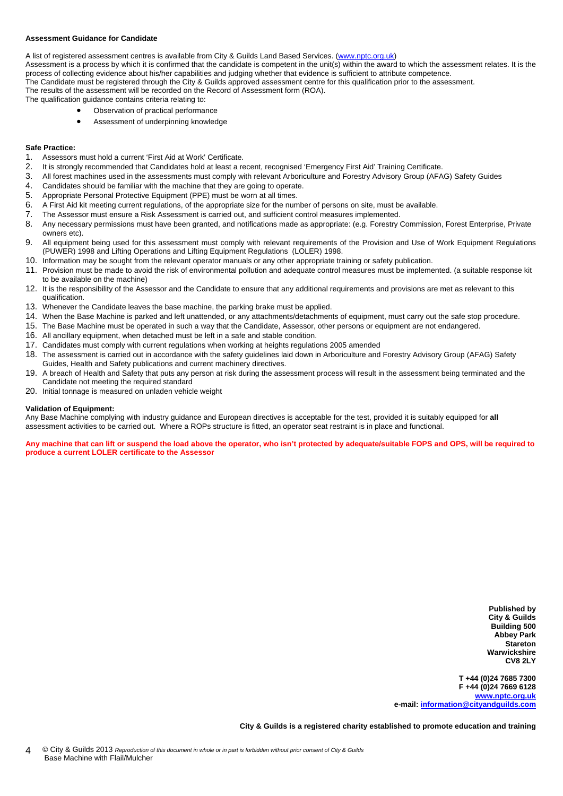#### **Assessment Guidance for Candidate**

A list of registered assessment centres is available from City & Guilds Land Based Services. ([www.nptc.org.uk\)](http://www.nptc.org.uk/) Assessment is a process by which it is confirmed that the candidate is competent in the unit(s) within the award to which the assessment relates. It is the process of collecting evidence about his/her capabilities and judging whether that evidence is sufficient to attribute competence. The Candidate must be registered through the City & Guilds approved assessment centre for this qualification prior to the assessment. The results of the assessment will be recorded on the Record of Assessment form (ROA). The qualification guidance contains criteria relating to:

- Observation of practical performance
- Assessment of underpinning knowledge

#### **Safe Practice:**

- 1. Assessors must hold a current 'First Aid at Work' Certificate.
- 2. It is strongly recommended that Candidates hold at least a recent, recognised 'Emergency First Aid' Training Certificate.
- 3. All forest machines used in the assessments must comply with relevant Arboriculture and Forestry Advisory Group (AFAG) Safety Guides
- 4. Candidates should be familiar with the machine that they are going to operate.
- 5. Appropriate Personal Protective Equipment (PPE) must be worn at all times.
- 6. A First Aid kit meeting current regulations, of the appropriate size for the number of persons on site, must be available.
- 7. The Assessor must ensure a Risk Assessment is carried out, and sufficient control measures implemented.<br>8. Any necessary permissions must have been granted, and notifications made as appropriate: (e.g. Forestry)
- 8. Any necessary permissions must have been granted, and notifications made as appropriate: (e.g. Forestry Commission, Forest Enterprise, Private owners etc).
- 9. All equipment being used for this assessment must comply with relevant requirements of the Provision and Use of Work Equipment Regulations (PUWER) 1998 and Lifting Operations and Lifting Equipment Regulations (LOLER) 1998.
- 10. Information may be sought from the relevant operator manuals or any other appropriate training or safety publication.
- 11. Provision must be made to avoid the risk of environmental pollution and adequate control measures must be implemented. (a suitable response kit to be available on the machine)
- 12. It is the responsibility of the Assessor and the Candidate to ensure that any additional requirements and provisions are met as relevant to this qualification.
- 13. Whenever the Candidate leaves the base machine, the parking brake must be applied.
- 14. When the Base Machine is parked and left unattended, or any attachments/detachments of equipment, must carry out the safe stop procedure.
- 15. The Base Machine must be operated in such a way that the Candidate, Assessor, other persons or equipment are not endangered.
- 16. All ancillary equipment, when detached must be left in a safe and stable condition.
- 17. Candidates must comply with current regulations when working at heights regulations 2005 amended
- 18. The assessment is carried out in accordance with the safety guidelines laid down in Arboriculture and Forestry Advisory Group (AFAG) Safety Guides, Health and Safety publications and current machinery directives.
- 19. A breach of Health and Safety that puts any person at risk during the assessment process will result in the assessment being terminated and the Candidate not meeting the required standard
- 20. Initial tonnage is measured on unladen vehicle weight

#### **Validation of Equipment:**

Any Base Machine complying with industry guidance and European directives is acceptable for the test, provided it is suitably equipped for **all** assessment activities to be carried out. Where a ROPs structure is fitted, an operator seat restraint is in place and functional.

**Any machine that can lift or suspend the load above the operator, who isn't protected by adequate/suitable FOPS and OPS, will be required to produce a current LOLER certificate to the Assessor** 

> **Published by City & Guilds Building 500 Abbey Park Stareton Warwickshire CV8 2LY**

**T +44 (0)24 7685 7300 F +44 (0)24 7669 6128 [www.nptc.org.uk](http://www.nptc.org.uk/) e-mail: [information@cityandguilds.com](mailto:information@cityandguilds.com)**

**City & Guilds is a registered charity established to promote education and training**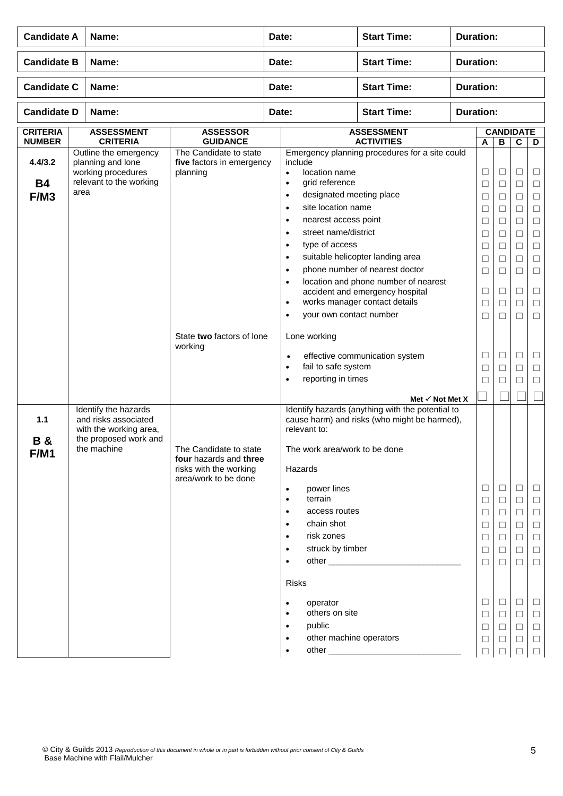| <b>Candidate A</b>               |      | Name:                                                                                                          | Date:                                                                                              |                                                                                                                                                          | <b>Start Time:</b>                                                                                                                                                                                                                     | <b>Duration:</b>                                                                                                                                                                                                                 |                  |                                                                                                  |                                                                                                        |                                                                              |                                                                                                                 |  |  |
|----------------------------------|------|----------------------------------------------------------------------------------------------------------------|----------------------------------------------------------------------------------------------------|----------------------------------------------------------------------------------------------------------------------------------------------------------|----------------------------------------------------------------------------------------------------------------------------------------------------------------------------------------------------------------------------------------|----------------------------------------------------------------------------------------------------------------------------------------------------------------------------------------------------------------------------------|------------------|--------------------------------------------------------------------------------------------------|--------------------------------------------------------------------------------------------------------|------------------------------------------------------------------------------|-----------------------------------------------------------------------------------------------------------------|--|--|
| <b>Candidate B</b>               |      | Name:                                                                                                          |                                                                                                    | Date:                                                                                                                                                    |                                                                                                                                                                                                                                        | <b>Start Time:</b>                                                                                                                                                                                                               | <b>Duration:</b> |                                                                                                  |                                                                                                        |                                                                              |                                                                                                                 |  |  |
| <b>Candidate C</b>               |      | Name:                                                                                                          |                                                                                                    | Date:                                                                                                                                                    |                                                                                                                                                                                                                                        | <b>Start Time:</b>                                                                                                                                                                                                               | <b>Duration:</b> |                                                                                                  |                                                                                                        |                                                                              |                                                                                                                 |  |  |
| <b>Candidate D</b>               |      | Name:                                                                                                          |                                                                                                    | Date:                                                                                                                                                    |                                                                                                                                                                                                                                        | <b>Start Time:</b>                                                                                                                                                                                                               |                  |                                                                                                  | <b>Duration:</b>                                                                                       |                                                                              |                                                                                                                 |  |  |
| <b>CRITERIA</b><br><b>NUMBER</b> |      | <b>ASSESSMENT</b><br><b>CRITERIA</b>                                                                           | <b>ASSESSOR</b><br><b>GUIDANCE</b>                                                                 |                                                                                                                                                          |                                                                                                                                                                                                                                        | <b>ASSESSMENT</b><br><b>ACTIVITIES</b>                                                                                                                                                                                           |                  | A                                                                                                | B                                                                                                      | <b>CANDIDATE</b><br>C                                                        | D                                                                                                               |  |  |
| 4.4/3.2<br><b>B4</b><br>F/M3     | area | Outline the emergency<br>planning and lone<br>working procedures<br>relevant to the working                    | The Candidate to state<br>five factors in emergency<br>planning                                    | $\bullet$<br>$\bullet$<br>$\bullet$<br>$\bullet$<br>$\bullet$<br>$\bullet$<br>$\bullet$<br>$\bullet$<br>$\bullet$<br>$\bullet$<br>$\bullet$<br>$\bullet$ | include<br>location name<br>grid reference<br>designated meeting place<br>site location name<br>nearest access point<br>street name/district<br>type of access<br>your own contact number                                              | Emergency planning procedures for a site could<br>suitable helicopter landing area<br>phone number of nearest doctor<br>location and phone number of nearest<br>accident and emergency hospital<br>works manager contact details |                  | Ц<br>$\Box$<br>$\Box$<br>⊔<br>$\Box$<br>$\Box$<br>$\Box$<br>$\Box$<br>$\Box$<br>⊔<br>$\Box$<br>□ | ⊔<br>$\Box$<br>$\Box$<br>⊔<br>□<br>⊔<br>□<br>$\Box$<br>□<br>⊔<br>$\Box$<br>□                           | ⊔<br>□<br>□<br>⊔<br>□<br>□<br>$\Box$<br>□<br>□<br>⊔<br>$\Box$<br>П           | $\Box$<br>$\Box$<br>$\Box$<br>□<br>$\Box$<br>$\Box$<br>$\Box$<br>$\Box$<br>$\Box$<br>$\Box$<br>$\Box$<br>$\Box$ |  |  |
|                                  |      |                                                                                                                | State two factors of lone<br>working                                                               | $\bullet$<br>$\bullet$<br>$\bullet$                                                                                                                      | Lone working<br>fail to safe system<br>reporting in times                                                                                                                                                                              | effective communication system<br>Met $\checkmark$ Not Met X                                                                                                                                                                     |                  | ⊔<br>$\Box$<br>□                                                                                 | ⊔<br>□<br>$\Box$                                                                                       | □<br>$\Box$<br>□                                                             | $\Box$<br>$\Box$<br>$\Box$                                                                                      |  |  |
| 1.1<br><b>B&amp;</b><br>F/M1     |      | Identify the hazards<br>and risks associated<br>with the working area,<br>the proposed work and<br>the machine | The Candidate to state<br>four hazards and three<br>risks with the working<br>area/work to be done | $\bullet$<br>$\bullet$<br>$\bullet$<br>$\bullet$<br>$\bullet$<br>$\bullet$<br>$\bullet$<br>$\bullet$<br>$\bullet$                                        | relevant to:<br>The work area/work to be done<br>Hazards<br>power lines<br>terrain<br>access routes<br>chain shot<br>risk zones<br>struck by timber<br><b>Risks</b><br>operator<br>others on site<br>public<br>other machine operators | Identify hazards (anything with the potential to<br>cause harm) and risks (who might be harmed),                                                                                                                                 |                  | $\Box$<br>□<br>$\Box$<br>$\Box$<br>□<br>$\Box$<br>П<br>□<br>□<br>$\Box$<br>⊔<br>$\Box$           | $\Box$<br>$\Box$<br>$\Box$<br>$\Box$<br>$\Box$<br>П<br>$\perp$<br>$\Box$<br>$\Box$<br>$\Box$<br>⊔<br>П | ⊔<br>□<br>$\Box$<br>$\Box$<br>□<br>□<br>п<br>⊔<br>□<br>$\Box$<br>$\Box$<br>□ | $\Box$<br>$\Box$<br>$\Box$<br>$\Box$<br>$\Box$<br>$\Box$<br>$\Box$<br>⊔<br>$\Box$<br>$\Box$<br>$\Box$<br>$\Box$ |  |  |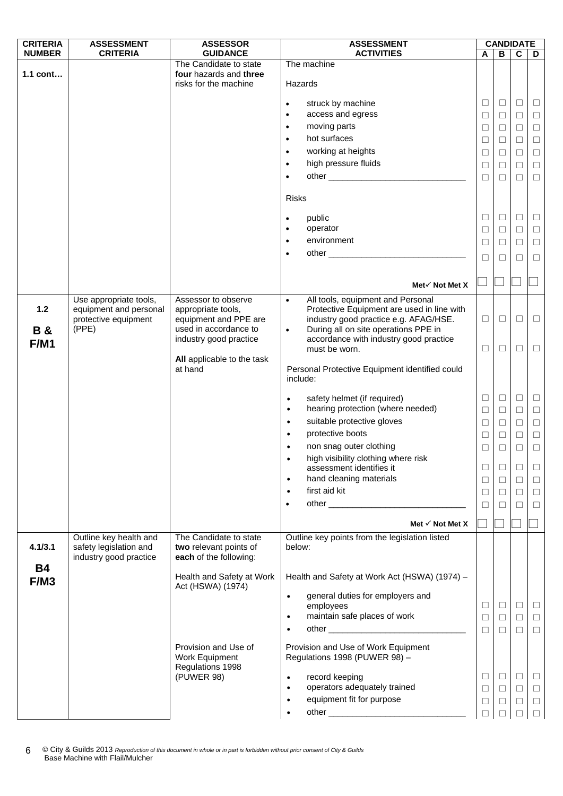| <b>CRITERIA</b>   | <b>ASSESSMENT</b>                                | <b>ASSESSOR</b>                                                           | <b>ASSESSMENT</b>                                                        |                  | <b>CANDIDATE</b> |             |                  |
|-------------------|--------------------------------------------------|---------------------------------------------------------------------------|--------------------------------------------------------------------------|------------------|------------------|-------------|------------------|
| <b>NUMBER</b>     | <b>CRITERIA</b>                                  | <b>GUIDANCE</b>                                                           | <b>ACTIVITIES</b>                                                        | A                | B                | $\mathbf c$ | D                |
| $1.1$ cont        |                                                  | The Candidate to state<br>four hazards and three<br>risks for the machine | The machine<br>Hazards                                                   |                  |                  |             |                  |
|                   |                                                  |                                                                           |                                                                          |                  |                  |             |                  |
|                   |                                                  |                                                                           | struck by machine<br>$\bullet$<br>access and egress<br>$\bullet$         | $\Box$           | $\Box$           | $\Box$      | $\Box$           |
|                   |                                                  |                                                                           | moving parts<br>$\bullet$                                                | ⊔                | $\Box$<br>$\Box$ | □<br>$\Box$ | $\Box$           |
|                   |                                                  |                                                                           | hot surfaces<br>$\bullet$                                                | $\Box$<br>$\Box$ | $\Box$           | □           | $\Box$<br>$\Box$ |
|                   |                                                  |                                                                           | working at heights<br>$\bullet$                                          | ⊔                | Ш                | □           | $\Box$           |
|                   |                                                  |                                                                           | high pressure fluids<br>$\bullet$                                        | $\Box$           | $\Box$           | $\Box$      | $\Box$           |
|                   |                                                  |                                                                           | $\bullet$                                                                | □                | $\Box$           | П           | $\Box$           |
|                   |                                                  |                                                                           | <b>Risks</b>                                                             |                  |                  |             |                  |
|                   |                                                  |                                                                           |                                                                          |                  |                  |             |                  |
|                   |                                                  |                                                                           | public<br>$\bullet$                                                      | □                | $\Box$           | $\Box$      | $\Box$           |
|                   |                                                  |                                                                           | operator<br>٠                                                            | $\Box$           | $\Box$           | $\Box$      | $\Box$           |
|                   |                                                  |                                                                           | environment<br>$\bullet$                                                 | $\Box$           | □                | □           | $\Box$           |
|                   |                                                  |                                                                           | $\bullet$                                                                | □                | П                | П           | $\Box$           |
|                   |                                                  |                                                                           | Met $\checkmark$ Not Met X                                               |                  |                  |             |                  |
|                   | Use appropriate tools,                           | Assessor to observe                                                       | All tools, equipment and Personal<br>$\bullet$                           |                  |                  |             |                  |
| $1.2$             | equipment and personal                           | appropriate tools,                                                        | Protective Equipment are used in line with                               |                  |                  |             |                  |
|                   | protective equipment                             | equipment and PPE are                                                     | industry good practice e.g. AFAG/HSE.                                    | $\Box$           | $\Box$           | $\Box$      | $\Box$           |
| <b>B&amp;</b>     | (PPE)                                            | used in accordance to                                                     | During all on site operations PPE in<br>$\bullet$                        |                  |                  |             |                  |
| <b>F/M1</b>       |                                                  | industry good practice                                                    | accordance with industry good practice<br>must be worn.                  | ⊔                | □                | ⊔           | ⊔                |
|                   |                                                  | All applicable to the task                                                |                                                                          |                  |                  |             |                  |
|                   |                                                  | at hand                                                                   | Personal Protective Equipment identified could<br>include:               |                  |                  |             |                  |
|                   |                                                  |                                                                           | safety helmet (if required)<br>$\bullet$                                 | $\Box$           | $\Box$           | $\Box$      | $\Box$           |
|                   |                                                  |                                                                           | hearing protection (where needed)<br>$\bullet$                           | $\Box$           | $\Box$           | $\Box$      | $\Box$           |
|                   |                                                  |                                                                           | suitable protective gloves<br>$\bullet$                                  | $\Box$           | $\Box$           | $\Box$      | $\Box$           |
|                   |                                                  |                                                                           | protective boots<br>$\bullet$                                            | $\Box$           | $\Box$           | $\Box$      | $\Box$           |
|                   |                                                  |                                                                           | non snag outer clothing                                                  | □                | □                | $\Box$      | $\Box$           |
|                   |                                                  |                                                                           | high visibility clothing where risk<br>assessment identifies it          | □                | $\Box$           | □           | $\Box$           |
|                   |                                                  |                                                                           | hand cleaning materials<br>$\bullet$                                     | $\Box$           | $\Box$           | $\Box$      | $\Box$           |
|                   |                                                  |                                                                           | first aid kit<br>$\bullet$                                               | □                | □                | $\Box$      | $\Box$           |
|                   |                                                  |                                                                           | $\bullet$                                                                | □                | П                | $\Box$      | $\Box$           |
|                   |                                                  |                                                                           | Met $\checkmark$ Not Met X                                               |                  |                  |             |                  |
|                   | Outline key health and                           | The Candidate to state                                                    | Outline key points from the legislation listed                           |                  |                  |             |                  |
| 4.1/3.1           | safety legislation and<br>industry good practice | two relevant points of<br>each of the following:                          | below:                                                                   |                  |                  |             |                  |
| <b>B4</b><br>F/M3 |                                                  | Health and Safety at Work                                                 | Health and Safety at Work Act (HSWA) (1974) -                            |                  |                  |             |                  |
|                   |                                                  | Act (HSWA) (1974)                                                         | general duties for employers and<br>$\bullet$                            |                  |                  |             |                  |
|                   |                                                  |                                                                           | employees                                                                | $\Box$           | $\Box$           | $\Box$      | $\Box$           |
|                   |                                                  |                                                                           | maintain safe places of work<br>$\bullet$                                | □                | $\Box$           | $\Box$      | $\Box$           |
|                   |                                                  |                                                                           |                                                                          | $\Box$           | $\Box$           | $\Box$      | $\Box$           |
|                   |                                                  | Provision and Use of<br>Work Equipment                                    | Provision and Use of Work Equipment<br>Regulations 1998 (PUWER 98) -     |                  |                  |             |                  |
|                   |                                                  | Regulations 1998                                                          |                                                                          | □                | $\Box$           | $\Box$      | $\Box$           |
|                   |                                                  | (PUWER 98)                                                                | record keeping<br>$\bullet$<br>operators adequately trained<br>$\bullet$ | □                | $\Box$           | $\Box$      | $\Box$           |
|                   |                                                  |                                                                           | equipment fit for purpose<br>$\bullet$                                   | $\Box$           | $\Box$           | $\Box$      | $\Box$           |
|                   |                                                  |                                                                           | $\bullet$                                                                |                  |                  | $\Box$      | $\Box$           |
|                   |                                                  |                                                                           |                                                                          |                  |                  |             |                  |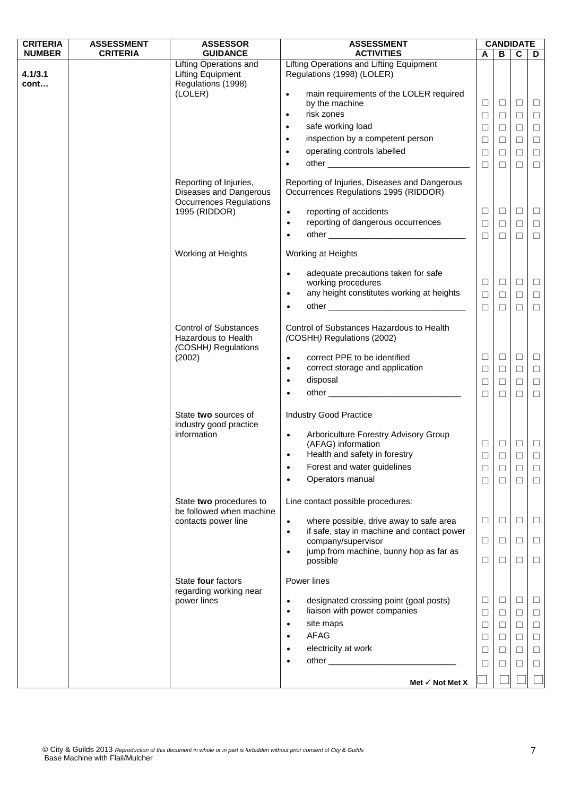| <b>CRITERIA</b> | <b>ASSESSMENT</b> | <b>ASSESSOR</b>                                                                    | <b>ASSESSMENT</b>                                                                                               | <b>CANDIDATE</b> |             |             |        |
|-----------------|-------------------|------------------------------------------------------------------------------------|-----------------------------------------------------------------------------------------------------------------|------------------|-------------|-------------|--------|
| <b>NUMBER</b>   | <b>CRITERIA</b>   | <b>GUIDANCE</b>                                                                    | <b>ACTIVITIES</b>                                                                                               | A                | В           | C           | D      |
| 4.1/3.1<br>cont |                   | <b>Lifting Operations and</b><br><b>Lifting Equipment</b><br>Regulations (1998)    | Lifting Operations and Lifting Equipment<br>Regulations (1998) (LOLER)                                          |                  |             |             |        |
|                 |                   | (LOLER)                                                                            | main requirements of the LOLER required<br>$\bullet$                                                            |                  |             |             |        |
|                 |                   |                                                                                    | by the machine                                                                                                  | $\Box$           | $\Box$      | $\Box$      | $\Box$ |
|                 |                   |                                                                                    | risk zones<br>$\bullet$                                                                                         | $\Box$           | $\Box$      | $\Box$      | $\Box$ |
|                 |                   |                                                                                    | safe working load<br>$\bullet$                                                                                  | $\Box$           | $\Box$      | $\Box$      | $\Box$ |
|                 |                   |                                                                                    | inspection by a competent person<br>$\bullet$                                                                   | $\Box$           | $\Box$      | $\Box$      | $\Box$ |
|                 |                   |                                                                                    | operating controls labelled<br>$\bullet$                                                                        | $\Box$           | $\Box$      | $\Box$      | $\Box$ |
|                 |                   |                                                                                    |                                                                                                                 | $\Box$           | $\Box$      | $\Box$      | $\Box$ |
|                 |                   | Reporting of Injuries,<br>Diseases and Dangerous<br><b>Occurrences Regulations</b> | Reporting of Injuries, Diseases and Dangerous<br>Occurrences Regulations 1995 (RIDDOR)                          |                  |             |             |        |
|                 |                   | 1995 (RIDDOR)                                                                      | reporting of accidents<br>$\bullet$                                                                             | $\Box$           | $\Box$      | $\Box$      | $\Box$ |
|                 |                   |                                                                                    | reporting of dangerous occurrences<br>$\bullet$                                                                 | $\Box$           | $\Box$      | $\Box$      | $\Box$ |
|                 |                   |                                                                                    | $\bullet$                                                                                                       | $\Box$           | $\Box$      | $\Box$      | $\Box$ |
|                 |                   | Working at Heights                                                                 | Working at Heights                                                                                              |                  |             |             |        |
|                 |                   |                                                                                    | adequate precautions taken for safe<br>$\bullet$<br>working procedures                                          | $\Box$           | $\Box$      | $\Box$      | $\Box$ |
|                 |                   |                                                                                    | any height constitutes working at heights<br>$\bullet$                                                          | $\Box$           | $\Box$      | $\Box$      | $\Box$ |
|                 |                   |                                                                                    | $\bullet$                                                                                                       | $\Box$           | $\Box$      | $\Box$      | $\Box$ |
|                 |                   | <b>Control of Substances</b><br>Hazardous to Health<br>(COSHH) Regulations         | Control of Substances Hazardous to Health<br>(COSHH) Regulations (2002)                                         |                  |             |             |        |
|                 |                   | (2002)                                                                             | correct PPE to be identified<br>$\bullet$                                                                       | ⊔                | $\Box$      | $\Box$      | $\Box$ |
|                 |                   |                                                                                    | correct storage and application<br>$\bullet$                                                                    | $\Box$           | $\Box$      | $\Box$      | $\Box$ |
|                 |                   |                                                                                    | disposal<br>$\bullet$                                                                                           | $\Box$           | $\Box$      | $\Box$      | $\Box$ |
|                 |                   |                                                                                    |                                                                                                                 | $\Box$           | $\Box$      | $\Box$      | □      |
|                 |                   | State two sources of<br>industry good practice                                     | <b>Industry Good Practice</b>                                                                                   |                  |             |             |        |
|                 |                   | information                                                                        | Arboriculture Forestry Advisory Group<br>$\bullet$<br>(AFAG) information<br>Health and safety in forestry       | $\Box$           | $\Box$      | $\Box$      | $\Box$ |
|                 |                   |                                                                                    | $\bullet$                                                                                                       | $\Box$           | $\Box$      | $\Box$      | $\Box$ |
|                 |                   |                                                                                    | Forest and water guidelines<br>Operators manual                                                                 | ⊔                | ⊔           | ⊔           | ⊔      |
|                 |                   |                                                                                    |                                                                                                                 | □                | $\Box$      | $\Box$      | $\Box$ |
|                 |                   | State two procedures to<br>be followed when machine                                | Line contact possible procedures:                                                                               |                  |             |             |        |
|                 |                   | contacts power line                                                                | where possible, drive away to safe area<br>$\bullet$<br>if safe, stay in machine and contact power<br>$\bullet$ | $\Box$           | $\Box$      | $\Box$      | ⊔      |
|                 |                   |                                                                                    | company/supervisor<br>jump from machine, bunny hop as far as                                                    | $\Box$           | $\Box$      | $\Box$      | ⊔      |
|                 |                   |                                                                                    | $\bullet$<br>possible                                                                                           | ⊔                | □           | □           | □      |
|                 |                   | State four factors<br>regarding working near                                       | Power lines                                                                                                     |                  |             |             |        |
|                 |                   | power lines                                                                        | designated crossing point (goal posts)<br>$\bullet$<br>liaison with power companies<br>$\bullet$                | ⊔                | □<br>$\Box$ | ⊔<br>$\Box$ | ⊔<br>□ |
|                 |                   |                                                                                    | site maps<br>$\bullet$                                                                                          | ⊔<br>$\Box$      | $\Box$      | $\Box$      | $\Box$ |
|                 |                   |                                                                                    | <b>AFAG</b><br>$\bullet$                                                                                        | ⊔                | $\Box$      | $\Box$      | $\Box$ |
|                 |                   |                                                                                    | electricity at work<br>٠                                                                                        | ⊔                | ⊔           | □           | $\Box$ |
|                 |                   |                                                                                    |                                                                                                                 | ⊔                | ⊔           | ⊔           | ⊔      |
|                 |                   |                                                                                    |                                                                                                                 |                  |             |             |        |
|                 |                   |                                                                                    | Met $\checkmark$ Not Met X                                                                                      |                  |             |             |        |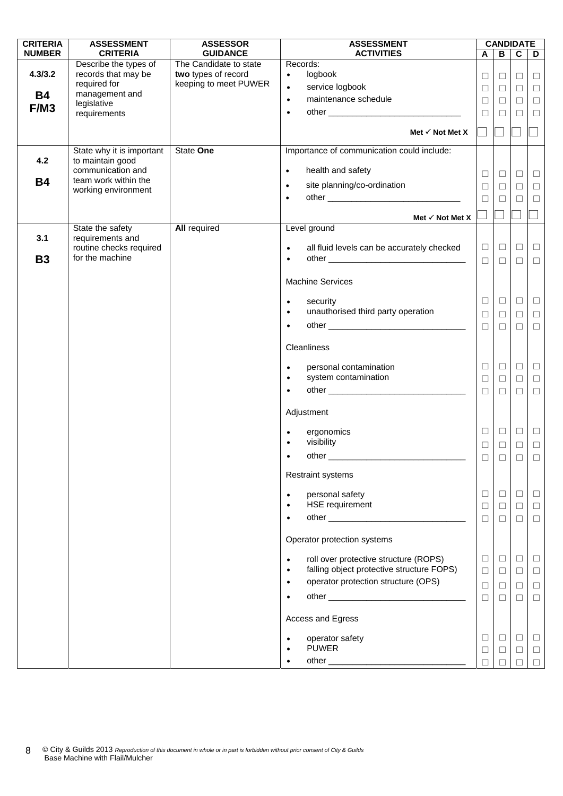| <b>CRITERIA</b>      | <b>ASSESSMENT</b>                                                              | <b>ASSESSOR</b>                                                        | <b>ASSESSMENT</b>                                                                                          |                            |                            | <b>CANDIDATE</b>           |                            |
|----------------------|--------------------------------------------------------------------------------|------------------------------------------------------------------------|------------------------------------------------------------------------------------------------------------|----------------------------|----------------------------|----------------------------|----------------------------|
| <b>NUMBER</b>        | <b>CRITERIA</b>                                                                | <b>GUIDANCE</b>                                                        | <b>ACTIVITIES</b><br>Records:                                                                              | A                          | B                          | $\mathbf c$                | D                          |
| 4.3/3.2<br><b>B4</b> | Describe the types of<br>records that may be<br>required for<br>management and | The Candidate to state<br>two types of record<br>keeping to meet PUWER | logbook<br>$\bullet$<br>service logbook<br>$\bullet$<br>maintenance schedule<br>$\bullet$                  | $\Box$<br>$\Box$<br>$\Box$ | $\Box$<br>$\Box$<br>$\Box$ | $\Box$<br>$\Box$<br>$\Box$ | $\Box$<br>$\Box$<br>$\Box$ |
| F/M3                 | legislative<br>requirements                                                    |                                                                        | $\bullet$                                                                                                  | $\Box$                     | $\Box$                     | $\Box$                     | $\Box$                     |
|                      |                                                                                |                                                                        | Met $\checkmark$ Not Met X                                                                                 |                            |                            |                            |                            |
| 4.2                  | State why it is important<br>to maintain good                                  | State One                                                              | Importance of communication could include:                                                                 |                            |                            |                            |                            |
|                      | communication and                                                              |                                                                        | health and safety<br>$\bullet$                                                                             | $\Box$                     | $\Box$                     | $\Box$                     | $\Box$                     |
| <b>B4</b>            | team work within the<br>working environment                                    |                                                                        | site planning/co-ordination<br>$\bullet$                                                                   | $\Box$                     | $\Box$                     | $\Box$                     | $\Box$                     |
|                      |                                                                                |                                                                        | $\bullet$                                                                                                  | $\Box$                     | $\Box$                     | $\Box$                     | $\Box$                     |
|                      |                                                                                |                                                                        | Met $\checkmark$ Not Met X                                                                                 |                            |                            |                            |                            |
| 3.1                  | State the safety<br>requirements and                                           | <b>All required</b>                                                    | Level ground                                                                                               |                            |                            |                            |                            |
| <b>B3</b>            | routine checks required<br>for the machine                                     |                                                                        | all fluid levels can be accurately checked<br>$\bullet$<br>$\bullet$                                       | $\Box$<br>$\Box$           | $\Box$<br>$\Box$           | $\Box$<br>$\Box$           | $\Box$<br>$\Box$           |
|                      |                                                                                |                                                                        | <b>Machine Services</b>                                                                                    |                            |                            |                            |                            |
|                      |                                                                                |                                                                        | security                                                                                                   | $\Box$                     | $\Box$                     | $\Box$                     | $\Box$                     |
|                      |                                                                                |                                                                        | $\bullet$<br>unauthorised third party operation<br>$\bullet$                                               | $\Box$                     | $\Box$                     | $\Box$                     | $\Box$                     |
|                      |                                                                                |                                                                        | $\bullet$                                                                                                  | $\Box$                     | $\Box$                     | $\Box$                     | $\Box$                     |
|                      |                                                                                |                                                                        |                                                                                                            |                            |                            |                            |                            |
|                      |                                                                                |                                                                        | Cleanliness                                                                                                |                            |                            |                            |                            |
|                      |                                                                                |                                                                        | personal contamination<br>$\bullet$                                                                        | $\Box$                     | $\Box$                     | $\Box$                     | $\Box$                     |
|                      |                                                                                |                                                                        | system contamination<br>$\bullet$<br>$\bullet$                                                             | $\Box$                     | $\Box$                     | $\Box$                     | $\Box$                     |
|                      |                                                                                |                                                                        |                                                                                                            | $\Box$                     | $\Box$                     | $\Box$                     | $\Box$                     |
|                      |                                                                                |                                                                        | Adjustment                                                                                                 |                            |                            |                            |                            |
|                      |                                                                                |                                                                        | ergonomics                                                                                                 | $\Box$                     | $\Box$                     | $\Box$                     | $\Box$                     |
|                      |                                                                                |                                                                        | visibility                                                                                                 | $\Box$                     | $\Box$                     | $\Box$                     | $\Box$                     |
|                      |                                                                                |                                                                        | other                                                                                                      | $\Box$                     | $\Box$                     | $\Box$                     | $\Box$                     |
|                      |                                                                                |                                                                        | <b>Restraint systems</b>                                                                                   |                            |                            |                            |                            |
|                      |                                                                                |                                                                        | personal safety<br>$\bullet$                                                                               | $\Box$                     | $\Box$                     | $\Box$                     | $\Box$                     |
|                      |                                                                                |                                                                        | <b>HSE</b> requirement                                                                                     | $\Box$                     | $\Box$                     | $\Box$                     | $\Box$                     |
|                      |                                                                                |                                                                        |                                                                                                            | $\Box$                     | $\Box$                     | $\Box$                     | $\Box$                     |
|                      |                                                                                |                                                                        | Operator protection systems                                                                                |                            |                            |                            |                            |
|                      |                                                                                |                                                                        | roll over protective structure (ROPS)<br>$\bullet$                                                         | $\Box$                     | $\Box$                     | $\Box$                     | $\Box$                     |
|                      |                                                                                |                                                                        | falling object protective structure FOPS)<br>$\bullet$<br>operator protection structure (OPS)<br>$\bullet$ | $\Box$                     | $\Box$                     | $\Box$                     | $\Box$                     |
|                      |                                                                                |                                                                        |                                                                                                            | $\Box$<br>$\Box$           | $\Box$<br>$\Box$           | $\Box$<br>$\Box$           | $\Box$<br>$\Box$           |
|                      |                                                                                |                                                                        | Access and Egress                                                                                          |                            |                            |                            |                            |
|                      |                                                                                |                                                                        | operator safety                                                                                            | $\Box$                     | $\Box$                     | $\Box$                     | $\Box$                     |
|                      |                                                                                |                                                                        | <b>PUWER</b>                                                                                               | $\Box$                     | $\Box$                     | $\Box$                     | $\Box$                     |
|                      |                                                                                |                                                                        |                                                                                                            |                            |                            |                            |                            |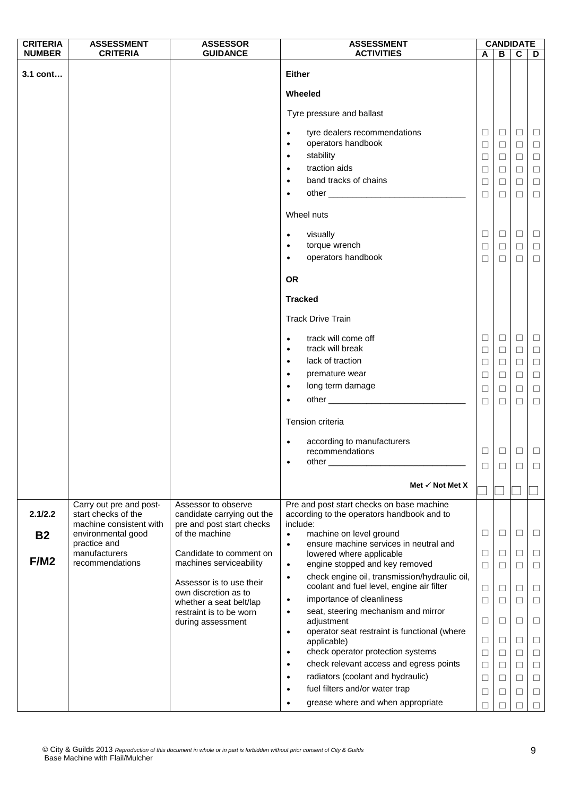| <b>CRITERIA</b> | <b>ASSESSMENT</b>                                                         | <b>ASSESSOR</b>                                                                | <b>ASSESSMENT</b>                                                                                                                                                                                                                          |                  | <b>CANDIDATE</b> |             |             |
|-----------------|---------------------------------------------------------------------------|--------------------------------------------------------------------------------|--------------------------------------------------------------------------------------------------------------------------------------------------------------------------------------------------------------------------------------------|------------------|------------------|-------------|-------------|
| <b>NUMBER</b>   | <b>CRITERIA</b>                                                           | <b>GUIDANCE</b>                                                                | <b>ACTIVITIES</b>                                                                                                                                                                                                                          | A                | В                | $\mathbf c$ | D           |
| 3.1 cont        |                                                                           |                                                                                | <b>Either</b>                                                                                                                                                                                                                              |                  |                  |             |             |
|                 |                                                                           |                                                                                | Wheeled                                                                                                                                                                                                                                    |                  |                  |             |             |
|                 |                                                                           |                                                                                | Tyre pressure and ballast                                                                                                                                                                                                                  |                  |                  |             |             |
|                 |                                                                           |                                                                                | tyre dealers recommendations<br>$\bullet$                                                                                                                                                                                                  | □                | $\Box$           | $\Box$      | $\Box$      |
|                 |                                                                           |                                                                                | operators handbook<br>$\bullet$                                                                                                                                                                                                            | $\Box$           | $\Box$           | $\Box$      | $\Box$      |
|                 |                                                                           |                                                                                | stability<br>$\bullet$                                                                                                                                                                                                                     | $\Box$           | $\Box$           | □           | $\Box$      |
|                 |                                                                           |                                                                                | traction aids<br>$\bullet$                                                                                                                                                                                                                 | $\Box$           | $\Box$           | $\Box$      | $\Box$      |
|                 |                                                                           |                                                                                | band tracks of chains<br>$\bullet$                                                                                                                                                                                                         | $\Box$           | □                | □           | $\Box$      |
|                 |                                                                           |                                                                                | other and the contract of the contract of the contract of the contract of the contract of the contract of the contract of the contract of the contract of the contract of the contract of the contract of the contract of the<br>$\bullet$ | $\Box$           | $\Box$           | $\Box$      | $\Box$      |
|                 |                                                                           |                                                                                | Wheel nuts                                                                                                                                                                                                                                 |                  |                  |             |             |
|                 |                                                                           |                                                                                | visually<br>$\bullet$                                                                                                                                                                                                                      | $\Box$           | $\Box$           | $\Box$      | $\Box$      |
|                 |                                                                           |                                                                                | torque wrench<br>$\bullet$                                                                                                                                                                                                                 | $\Box$           | $\Box$           | $\Box$      | $\Box$      |
|                 |                                                                           |                                                                                | operators handbook<br>$\bullet$                                                                                                                                                                                                            | □                | □                | □           | $\Box$      |
|                 |                                                                           |                                                                                | <b>OR</b>                                                                                                                                                                                                                                  |                  |                  |             |             |
|                 |                                                                           |                                                                                | <b>Tracked</b>                                                                                                                                                                                                                             |                  |                  |             |             |
|                 |                                                                           |                                                                                | <b>Track Drive Train</b>                                                                                                                                                                                                                   |                  |                  |             |             |
|                 |                                                                           |                                                                                | track will come off<br>$\bullet$                                                                                                                                                                                                           | □                | $\Box$           | $\Box$      | $\Box$      |
|                 |                                                                           |                                                                                | track will break<br>$\bullet$                                                                                                                                                                                                              | ⊔                | $\Box$           | $\Box$      | $\Box$      |
|                 |                                                                           |                                                                                | lack of traction<br>$\bullet$                                                                                                                                                                                                              | $\Box$           | $\Box$           | $\Box$      | $\Box$      |
|                 |                                                                           |                                                                                | premature wear<br>$\bullet$                                                                                                                                                                                                                | $\Box$           | $\Box$           | $\Box$      | $\Box$      |
|                 |                                                                           |                                                                                | long term damage<br>$\bullet$                                                                                                                                                                                                              | □                | ⊔                | □           | $\Box$      |
|                 |                                                                           |                                                                                | $\bullet$                                                                                                                                                                                                                                  | $\Box$           | $\Box$           | $\Box$      | $\Box$      |
|                 |                                                                           |                                                                                | Tension criteria                                                                                                                                                                                                                           |                  |                  |             |             |
|                 |                                                                           |                                                                                | according to manufacturers<br>$\bullet$                                                                                                                                                                                                    |                  |                  |             |             |
|                 |                                                                           |                                                                                | recommendations                                                                                                                                                                                                                            | □                | $\Box$           | $\Box$      | $\Box$      |
|                 |                                                                           |                                                                                | $other$ <sub>__</sub>                                                                                                                                                                                                                      |                  |                  | □           | ⊔           |
|                 |                                                                           |                                                                                | Met $\checkmark$ Not Met X                                                                                                                                                                                                                 |                  |                  |             |             |
|                 |                                                                           |                                                                                |                                                                                                                                                                                                                                            |                  |                  |             |             |
| 2.1/2.2         | Carry out pre and post-<br>start checks of the<br>machine consistent with | Assessor to observe<br>candidate carrying out the<br>pre and post start checks | Pre and post start checks on base machine<br>according to the operators handbook and to<br>include:                                                                                                                                        |                  |                  |             |             |
| <b>B2</b>       | environmental good                                                        | of the machine                                                                 | machine on level ground<br>$\bullet$                                                                                                                                                                                                       | □                | □                | $\Box$      | $\Box$      |
|                 | practice and                                                              |                                                                                | ensure machine services in neutral and<br>$\bullet$                                                                                                                                                                                        |                  |                  |             |             |
| F/M2            | manufacturers<br>recommendations                                          | Candidate to comment on                                                        | lowered where applicable                                                                                                                                                                                                                   | $\Box$           | □                | $\Box$      | $\Box$      |
|                 |                                                                           | machines serviceability                                                        | engine stopped and key removed<br>$\bullet$                                                                                                                                                                                                | $\Box$           | $\Box$           | $\Box$      | $\Box$      |
|                 |                                                                           | Assessor is to use their<br>own discretion as to                               | check engine oil, transmission/hydraulic oil,<br>$\bullet$<br>coolant and fuel level, engine air filter                                                                                                                                    | ⊔                | ⊔                | □           | □           |
|                 |                                                                           | whether a seat belt/lap                                                        | importance of cleanliness<br>$\bullet$                                                                                                                                                                                                     | $\Box$           | $\Box$           | $\Box$      | $\Box$      |
|                 |                                                                           | restraint is to be worn<br>during assessment                                   | seat, steering mechanism and mirror<br>$\bullet$<br>adjustment                                                                                                                                                                             | ⊔                | □                | $\Box$      | □           |
|                 |                                                                           |                                                                                | operator seat restraint is functional (where<br>$\bullet$                                                                                                                                                                                  |                  |                  |             |             |
|                 |                                                                           |                                                                                | applicable)<br>check operator protection systems<br>$\bullet$                                                                                                                                                                              | $\Box$<br>$\Box$ | ⊔<br>⊔           | $\Box$<br>□ | ⊔<br>$\Box$ |
|                 |                                                                           |                                                                                | check relevant access and egress points<br>$\bullet$                                                                                                                                                                                       | $\Box$           | $\Box$           | $\Box$      | $\Box$      |
|                 |                                                                           |                                                                                | radiators (coolant and hydraulic)<br>$\bullet$                                                                                                                                                                                             | $\Box$           | □                | $\Box$      | $\Box$      |
|                 |                                                                           |                                                                                | fuel filters and/or water trap<br>$\bullet$                                                                                                                                                                                                | $\Box$           | □                | $\Box$      | $\Box$      |
|                 |                                                                           |                                                                                | grease where and when appropriate<br>$\bullet$                                                                                                                                                                                             | П                |                  | П           | $\Box$      |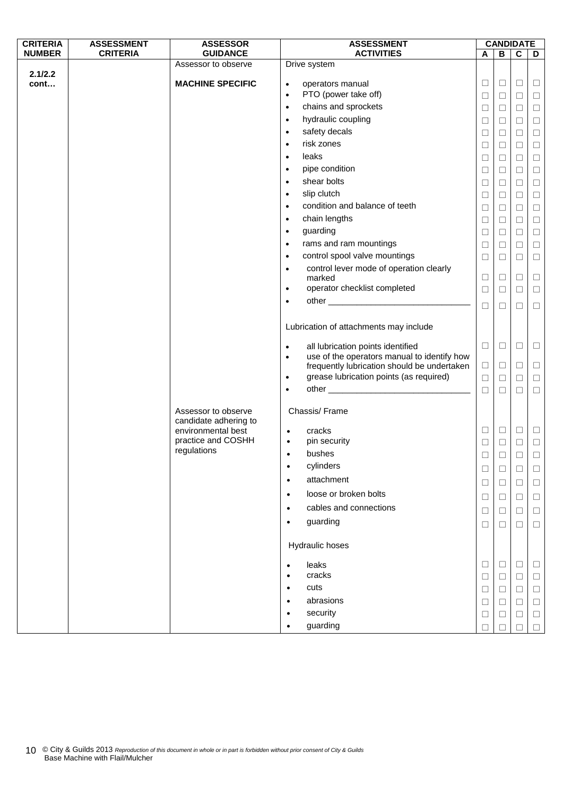| <b>CRITERIA</b> | <b>ASSESSMENT</b> | <b>ASSESSOR</b>                             | <b>ASSESSMENT</b>                                                  | <b>CANDIDATE</b> |        |             |                  |
|-----------------|-------------------|---------------------------------------------|--------------------------------------------------------------------|------------------|--------|-------------|------------------|
| <b>NUMBER</b>   | <b>CRITERIA</b>   | <b>GUIDANCE</b>                             | <b>ACTIVITIES</b>                                                  | Α                | В      | $\mathbf c$ | D                |
|                 |                   | Assessor to observe                         | Drive system                                                       |                  |        |             |                  |
| 2.1/2.2<br>cont |                   | <b>MACHINE SPECIFIC</b>                     |                                                                    | $\Box$           | $\Box$ | $\Box$      | ⊔                |
|                 |                   |                                             | operators manual<br>$\bullet$<br>PTO (power take off)<br>$\bullet$ | $\Box$           | $\Box$ |             |                  |
|                 |                   |                                             | chains and sprockets<br>$\bullet$                                  | $\Box$           | $\Box$ | $\Box$      | $\Box$<br>$\Box$ |
|                 |                   |                                             | hydraulic coupling<br>$\bullet$                                    |                  |        | $\Box$      |                  |
|                 |                   |                                             | safety decals<br>$\bullet$                                         | $\Box$           | $\Box$ | $\Box$      | $\Box$           |
|                 |                   |                                             | risk zones                                                         | $\Box$           | $\Box$ | $\Box$      | $\Box$           |
|                 |                   |                                             | $\bullet$                                                          | $\Box$           | $\Box$ | $\Box$      | $\Box$           |
|                 |                   |                                             | leaks<br>$\bullet$                                                 | $\Box$           | $\Box$ | $\Box$      | $\Box$           |
|                 |                   |                                             | pipe condition<br>$\bullet$                                        | $\Box$           | $\Box$ | $\Box$      | $\Box$           |
|                 |                   |                                             | shear bolts<br>$\bullet$                                           | $\Box$           | $\Box$ | $\Box$      | $\Box$           |
|                 |                   |                                             | slip clutch<br>$\bullet$                                           | $\Box$           | $\Box$ | $\Box$      | $\Box$           |
|                 |                   |                                             | condition and balance of teeth<br>$\bullet$                        | $\Box$           | $\Box$ | $\Box$      | $\Box$           |
|                 |                   |                                             | chain lengths<br>$\bullet$                                         | $\Box$           | $\Box$ | $\Box$      | $\Box$           |
|                 |                   |                                             | guarding<br>$\bullet$                                              | $\Box$           | $\Box$ | $\Box$      | $\Box$           |
|                 |                   |                                             | rams and ram mountings<br>$\bullet$                                | $\Box$           | $\Box$ | $\Box$      | $\Box$           |
|                 |                   |                                             | control spool valve mountings<br>$\bullet$                         | $\Box$           | $\Box$ | $\Box$      | $\Box$           |
|                 |                   |                                             | control lever mode of operation clearly<br>$\bullet$               |                  |        |             |                  |
|                 |                   |                                             | marked                                                             | $\Box$           | $\Box$ | $\Box$      | $\Box$           |
|                 |                   |                                             | operator checklist completed<br>$\bullet$                          | $\Box$           | $\Box$ | $\Box$      | $\Box$           |
|                 |                   |                                             | $\bullet$                                                          | $\Box$           | $\Box$ | $\Box$      | $\Box$           |
|                 |                   |                                             |                                                                    |                  |        |             |                  |
|                 |                   |                                             | Lubrication of attachments may include                             |                  |        |             |                  |
|                 |                   |                                             | all lubrication points identified<br>$\bullet$                     | $\Box$           | $\Box$ | $\Box$      | $\Box$           |
|                 |                   |                                             | use of the operators manual to identify how<br>$\bullet$           |                  |        |             |                  |
|                 |                   |                                             | frequently lubrication should be undertaken                        | $\Box$           | $\Box$ | $\Box$      | $\Box$           |
|                 |                   |                                             | grease lubrication points (as required)<br>$\bullet$               | $\Box$           | $\Box$ | $\Box$      | $\Box$           |
|                 |                   |                                             | $\bullet$                                                          | $\Box$           | $\Box$ | $\Box$      | $\Box$           |
|                 |                   |                                             |                                                                    |                  |        |             |                  |
|                 |                   | Assessor to observe                         | Chassis/Frame                                                      |                  |        |             |                  |
|                 |                   | candidate adhering to<br>environmental best | cracks<br>$\bullet$                                                | $\Box$           | $\Box$ | $\Box$      | $\Box$           |
|                 |                   | practice and COSHH                          | pin security<br>$\bullet$                                          | $\Box$           | $\Box$ | $\Box$      | $\Box$           |
|                 |                   | regulations                                 | bushes<br>$\bullet$                                                | $\Box$           | $\Box$ | $\Box$      | $\Box$           |
|                 |                   |                                             | cylinders<br>$\bullet$                                             | $\Box$           | □      | ⊔           |                  |
|                 |                   |                                             | attachment<br>$\bullet$                                            |                  |        |             | $\Box$           |
|                 |                   |                                             | loose or broken bolts                                              | $\Box$           | □      | ⊔           | $\Box$           |
|                 |                   |                                             | $\bullet$                                                          | $\Box$           | □      | □           | □                |
|                 |                   |                                             | cables and connections<br>$\bullet$                                | $\Box$           | □      | □           | ⊔                |
|                 |                   |                                             | guarding<br>$\bullet$                                              | $\Box$           | $\Box$ | $\Box$      | $\Box$           |
|                 |                   |                                             |                                                                    |                  |        |             |                  |
|                 |                   |                                             | Hydraulic hoses                                                    |                  |        |             |                  |
|                 |                   |                                             | leaks<br>$\bullet$                                                 | $\Box$           | $\Box$ | $\Box$      | ⊔                |
|                 |                   |                                             | cracks<br>$\bullet$                                                | $\Box$           | $\Box$ | ⊔           | ⊔                |
|                 |                   |                                             | cuts<br>$\bullet$                                                  | $\Box$           | $\Box$ | □           | $\Box$           |
|                 |                   |                                             | abrasions<br>$\bullet$                                             | $\Box$           | □      |             | □                |
|                 |                   |                                             | security<br>$\bullet$                                              |                  |        | ⊔           |                  |
|                 |                   |                                             | guarding<br>$\bullet$                                              | $\Box$           | □      | □           | $\Box$           |
|                 |                   |                                             |                                                                    | П                |        |             | П                |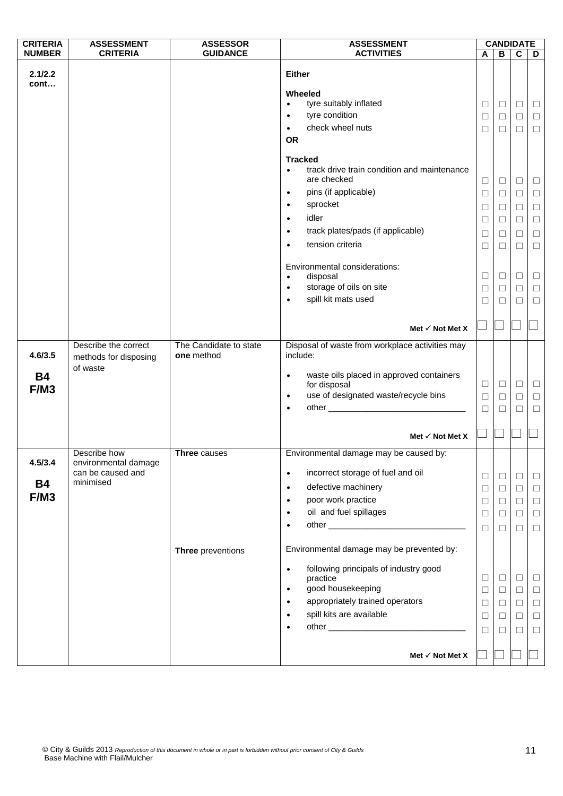| <b>CRITERIA</b>              | <b>ASSESSMENT</b>                                                      | <b>ASSESSOR</b>                      | <b>ASSESSMENT</b>                                                                                                                                                                                                                                                                 | <b>CANDIDATE</b>                               |                                                |                                                     |                                                          |
|------------------------------|------------------------------------------------------------------------|--------------------------------------|-----------------------------------------------------------------------------------------------------------------------------------------------------------------------------------------------------------------------------------------------------------------------------------|------------------------------------------------|------------------------------------------------|-----------------------------------------------------|----------------------------------------------------------|
| <b>NUMBER</b>                | <b>CRITERIA</b>                                                        | <b>GUIDANCE</b>                      | <b>ACTIVITIES</b>                                                                                                                                                                                                                                                                 | A                                              | B                                              | $\mathbf c$                                         | D                                                        |
| 2.1/2.2<br>cont              |                                                                        |                                      | <b>Either</b><br>Wheeled<br>tyre suitably inflated<br>$\bullet$<br>tyre condition<br>$\bullet$<br>check wheel nuts<br>$\bullet$<br><b>OR</b>                                                                                                                                      | $\Box$<br>⊔<br>□                               | $\Box$<br>⊔<br>□                               | $\Box$<br>□<br>$\Box$                               | $\Box$<br>$\Box$<br>$\Box$                               |
|                              |                                                                        |                                      | <b>Tracked</b><br>track drive train condition and maintenance<br>$\bullet$<br>are checked<br>pins (if applicable)<br>$\bullet$<br>sprocket<br>$\bullet$<br>idler<br>$\bullet$<br>track plates/pads (if applicable)<br>$\bullet$<br>tension criteria<br>$\bullet$                  | $\Box$<br>$\Box$<br>□<br>$\Box$<br>□<br>$\Box$ | $\Box$<br>$\Box$<br>$\Box$<br>$\Box$<br>⊔<br>□ | $\Box$<br>□<br>$\Box$<br>$\Box$<br>$\Box$<br>$\Box$ | $\Box$<br>$\Box$<br>$\Box$<br>$\Box$<br>$\Box$<br>$\Box$ |
|                              |                                                                        |                                      | Environmental considerations:<br>disposal<br>$\bullet$<br>storage of oils on site<br>$\bullet$<br>spill kit mats used<br>$\bullet$                                                                                                                                                | ⊔<br>$\Box$<br>П                               | ⊔<br>$\Box$<br>п                               | Ц<br>$\Box$<br>П                                    | $\Box$<br>$\Box$<br>$\Box$                               |
|                              |                                                                        |                                      | Met $\checkmark$ Not Met X                                                                                                                                                                                                                                                        |                                                |                                                |                                                     |                                                          |
| 4.6/3.5<br><b>B4</b>         | Describe the correct<br>methods for disposing<br>of waste              | The Candidate to state<br>one method | Disposal of waste from workplace activities may<br>include:<br>waste oils placed in approved containers<br>$\bullet$<br>for disposal                                                                                                                                              | $\Box$                                         | $\Box$                                         | $\Box$                                              | $\Box$                                                   |
| F/M3                         |                                                                        |                                      | use of designated waste/recycle bins<br>$\bullet$<br>$\bullet$                                                                                                                                                                                                                    | $\Box$<br>□                                    | □<br>$\Box$                                    | $\Box$<br>$\Box$                                    | $\Box$<br>$\Box$                                         |
|                              |                                                                        |                                      | Met $\checkmark$ Not Met X                                                                                                                                                                                                                                                        | $\overline{\phantom{a}}$                       |                                                |                                                     |                                                          |
| 4.5/3.4<br><b>B4</b><br>F/M3 | Describe how<br>environmental damage<br>can be caused and<br>minimised | Three causes                         | Environmental damage may be caused by:<br>incorrect storage of fuel and oil<br>$\bullet$<br>defective machinery<br>$\bullet$<br>poor work practice<br>$\bullet$<br>oil and fuel spillages<br>$\bullet$<br>$\bullet$                                                               | $\Box$<br>□<br>$\Box$<br>□<br>$\Box$           | $\Box$<br>$\Box$<br>$\Box$<br>$\Box$<br>$\Box$ | $\Box$<br>$\Box$<br>$\Box$<br>$\Box$<br>$\Box$      | $\Box$<br>$\Box$<br>$\Box$<br>$\Box$<br>$\Box$           |
|                              |                                                                        | Three preventions                    | Environmental damage may be prevented by:<br>following principals of industry good<br>$\bullet$<br>practice<br>good housekeeping<br>$\bullet$<br>appropriately trained operators<br>$\bullet$<br>spill kits are available<br>$\bullet$<br>$\bullet$<br>Met $\checkmark$ Not Met X | $\Box$<br>□<br>$\Box$<br>□<br>П                | $\Box$<br>$\Box$<br>$\Box$<br>$\Box$<br>П      | $\Box$<br>$\Box$<br>$\Box$<br>$\Box$<br>$\Box$      | $\Box$<br>$\Box$<br>$\Box$<br>$\Box$<br>$\Box$           |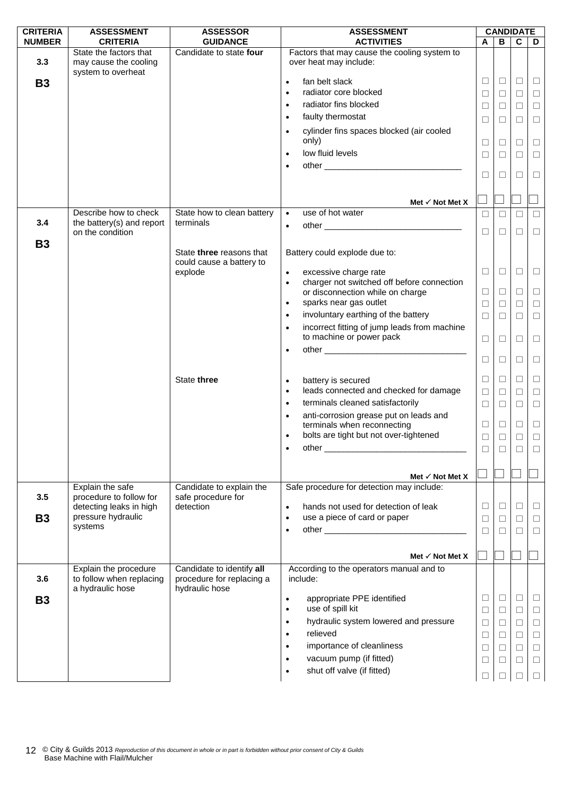| <b>CRITERIA</b> | <b>ASSESSMENT</b>                                                     | <b>ASSESSOR</b>                             | <b>ASSESSMENT</b>                                                                             |        |        | <b>CANDIDATE</b> |        |
|-----------------|-----------------------------------------------------------------------|---------------------------------------------|-----------------------------------------------------------------------------------------------|--------|--------|------------------|--------|
| <b>NUMBER</b>   | <b>CRITERIA</b>                                                       | <b>GUIDANCE</b>                             | <b>ACTIVITIES</b>                                                                             | A      | B      | $\mathbf c$      | D      |
| 3.3             | State the factors that<br>may cause the cooling<br>system to overheat | Candidate to state four                     | Factors that may cause the cooling system to<br>over heat may include:                        |        |        |                  |        |
| <b>B3</b>       |                                                                       |                                             | fan belt slack<br>$\bullet$                                                                   | □      | $\Box$ | □                | $\Box$ |
|                 |                                                                       |                                             | radiator core blocked<br>$\bullet$                                                            | ⊔      | ⊔      | □                | $\Box$ |
|                 |                                                                       |                                             | radiator fins blocked<br>$\bullet$                                                            | $\Box$ | $\Box$ | $\Box$           | $\Box$ |
|                 |                                                                       |                                             | faulty thermostat<br>$\bullet$                                                                | $\Box$ | $\Box$ | □                | $\Box$ |
|                 |                                                                       |                                             | cylinder fins spaces blocked (air cooled<br>$\bullet$                                         |        |        |                  |        |
|                 |                                                                       |                                             | only)                                                                                         | □      | $\Box$ | $\Box$           | $\Box$ |
|                 |                                                                       |                                             | low fluid levels<br>$\bullet$                                                                 | □      | $\Box$ | $\Box$           | $\Box$ |
|                 |                                                                       |                                             | $\bullet$                                                                                     |        |        |                  |        |
|                 |                                                                       |                                             |                                                                                               | $\Box$ | □      | □                | $\Box$ |
|                 |                                                                       |                                             | Met $\checkmark$ Not Met X                                                                    |        |        |                  |        |
| 3.4             | Describe how to check<br>the battery(s) and report                    | State how to clean battery<br>terminals     | use of hot water<br>$\bullet$                                                                 | $\Box$ | П      | $\Box$           | $\Box$ |
|                 | on the condition                                                      |                                             | $\bullet$                                                                                     | П      | П      | П                | $\Box$ |
| <b>B3</b>       |                                                                       | State three reasons that                    | Battery could explode due to:                                                                 |        |        |                  |        |
|                 |                                                                       | could cause a battery to                    |                                                                                               |        |        |                  |        |
|                 |                                                                       | explode                                     | excessive charge rate<br>$\bullet$<br>charger not switched off before connection<br>$\bullet$ | □      | $\Box$ | □                | $\Box$ |
|                 |                                                                       |                                             | or disconnection while on charge                                                              | $\Box$ | $\Box$ | □                | $\Box$ |
|                 |                                                                       |                                             | sparks near gas outlet<br>$\bullet$                                                           | $\Box$ | $\Box$ | $\Box$           | $\Box$ |
|                 |                                                                       |                                             | involuntary earthing of the battery<br>$\bullet$                                              | $\Box$ | $\Box$ | $\Box$           | $\Box$ |
|                 |                                                                       |                                             | incorrect fitting of jump leads from machine<br>$\bullet$<br>to machine or power pack         | $\Box$ | □      | □                | $\Box$ |
|                 |                                                                       |                                             | $\bullet$                                                                                     |        |        |                  |        |
|                 |                                                                       |                                             |                                                                                               | $\Box$ | □      | □                | $\Box$ |
|                 |                                                                       | State three                                 | battery is secured<br>$\bullet$                                                               | $\Box$ | ⊔      | □                | $\Box$ |
|                 |                                                                       |                                             | leads connected and checked for damage<br>$\bullet$                                           | $\Box$ | $\Box$ | $\Box$           | $\Box$ |
|                 |                                                                       |                                             | terminals cleaned satisfactorily<br>$\bullet$                                                 | $\Box$ | $\Box$ | $\Box$           | $\Box$ |
|                 |                                                                       |                                             | anti-corrosion grease put on leads and<br>$\bullet$                                           |        |        |                  |        |
|                 |                                                                       |                                             | terminals when reconnecting                                                                   | $\Box$ | $\Box$ | $\Box$           | $\Box$ |
|                 |                                                                       |                                             | bolts are tight but not over-tightened<br>$\bullet$                                           | $\Box$ | $\Box$ | $\Box$           | $\Box$ |
|                 |                                                                       |                                             | other                                                                                         | $\Box$ | $\Box$ | $\Box$           | $\Box$ |
|                 |                                                                       |                                             |                                                                                               |        |        |                  |        |
|                 |                                                                       |                                             | Met $\checkmark$ Not Met X                                                                    |        |        |                  |        |
|                 | Explain the safe                                                      | Candidate to explain the                    | Safe procedure for detection may include:                                                     |        |        |                  |        |
| 3.5             | procedure to follow for<br>detecting leaks in high                    | safe procedure for<br>detection             | hands not used for detection of leak<br>$\bullet$                                             | □      | $\Box$ | ⊔                | $\Box$ |
| <b>B3</b>       | pressure hydraulic                                                    |                                             | use a piece of card or paper<br>$\bullet$                                                     | □      | $\Box$ | $\Box$           | $\Box$ |
|                 | systems                                                               |                                             | $\bullet$                                                                                     | $\Box$ | □      | П                | $\Box$ |
|                 |                                                                       |                                             |                                                                                               |        |        |                  |        |
|                 |                                                                       |                                             | Met $\checkmark$ Not Met X                                                                    |        |        |                  |        |
|                 | Explain the procedure                                                 | Candidate to identify all                   | According to the operators manual and to                                                      |        |        |                  |        |
| 3.6             | to follow when replacing<br>a hydraulic hose                          | procedure for replacing a<br>hydraulic hose | include:                                                                                      |        |        |                  |        |
| <b>B3</b>       |                                                                       |                                             | appropriate PPE identified<br>$\bullet$                                                       | ⊔      | □      | ⊔                | $\Box$ |
|                 |                                                                       |                                             | use of spill kit<br>$\bullet$                                                                 | $\Box$ | $\Box$ | $\Box$           | $\Box$ |
|                 |                                                                       |                                             | hydraulic system lowered and pressure<br>$\bullet$                                            | $\Box$ | $\Box$ | $\Box$           | $\Box$ |
|                 |                                                                       |                                             | relieved<br>$\bullet$                                                                         | $\Box$ | ⊔      | $\Box$           | $\Box$ |
|                 |                                                                       |                                             | importance of cleanliness<br>$\bullet$                                                        | $\Box$ | $\Box$ | $\Box$           | $\Box$ |
|                 |                                                                       |                                             | vacuum pump (if fitted)<br>$\bullet$                                                          | □      | □      | □                | $\Box$ |
|                 |                                                                       |                                             | shut off valve (if fitted)<br>$\bullet$                                                       |        |        |                  | $\Box$ |
|                 |                                                                       |                                             |                                                                                               |        |        |                  |        |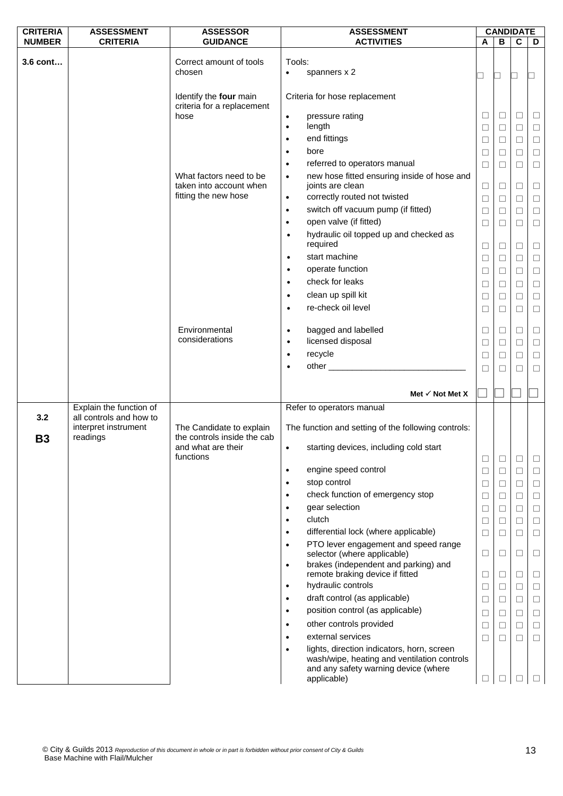| <b>CRITERIA</b>  | <b>ASSESSMENT</b>                                           | <b>ASSESSOR</b>                                         | <b>ASSESSMENT</b>                                                                                                                                |        | <b>CANDIDATE</b> |                  |                  |
|------------------|-------------------------------------------------------------|---------------------------------------------------------|--------------------------------------------------------------------------------------------------------------------------------------------------|--------|------------------|------------------|------------------|
| <b>NUMBER</b>    | <b>CRITERIA</b>                                             | <b>GUIDANCE</b>                                         | <b>ACTIVITIES</b>                                                                                                                                | A      | B                | $\mathbf c$      | D                |
| 3.6 cont         |                                                             | Correct amount of tools<br>chosen                       | Tools:<br>spanners x 2<br>$\bullet$                                                                                                              | ┚      | $\Box$           | ▁                |                  |
|                  |                                                             | Identify the four main<br>criteria for a replacement    | Criteria for hose replacement                                                                                                                    |        |                  |                  |                  |
|                  |                                                             | hose                                                    | pressure rating<br>$\bullet$<br>length<br>$\bullet$                                                                                              | □<br>⊔ | $\Box$<br>$\Box$ | $\Box$<br>$\Box$ | $\Box$<br>$\Box$ |
|                  |                                                             |                                                         | end fittings<br>$\bullet$                                                                                                                        | □      | $\Box$           | $\Box$           | $\Box$           |
|                  |                                                             |                                                         | bore<br>$\bullet$                                                                                                                                | □      | $\Box$           | $\Box$           | $\Box$           |
|                  |                                                             |                                                         | referred to operators manual<br>$\bullet$                                                                                                        | □      | $\Box$           | $\Box$           | $\Box$           |
|                  |                                                             | What factors need to be<br>taken into account when      | new hose fitted ensuring inside of hose and<br>$\bullet$<br>joints are clean                                                                     | $\Box$ | $\Box$           | $\Box$           | $\Box$           |
|                  |                                                             | fitting the new hose                                    | correctly routed not twisted<br>$\bullet$                                                                                                        | $\Box$ | $\Box$           | $\Box$           | $\Box$           |
|                  |                                                             |                                                         | switch off vacuum pump (if fitted)<br>$\bullet$                                                                                                  | $\Box$ | $\Box$           | $\Box$           | $\Box$           |
|                  |                                                             |                                                         | open valve (if fitted)<br>$\bullet$                                                                                                              | □      | $\Box$           | $\Box$           | $\Box$           |
|                  |                                                             |                                                         | hydraulic oil topped up and checked as<br>$\bullet$<br>required                                                                                  | $\Box$ | $\Box$           | $\Box$           | $\Box$           |
|                  |                                                             |                                                         | start machine<br>$\bullet$                                                                                                                       | Ц      | $\Box$           | □                | $\Box$           |
|                  |                                                             |                                                         | operate function<br>$\bullet$                                                                                                                    | $\Box$ | $\Box$           | $\Box$           | $\Box$           |
|                  |                                                             |                                                         | check for leaks<br>$\bullet$                                                                                                                     | $\Box$ | $\Box$           | $\Box$           | $\Box$           |
|                  |                                                             |                                                         | clean up spill kit<br>$\bullet$                                                                                                                  | □      | $\Box$           | $\Box$           | $\Box$           |
|                  |                                                             |                                                         | re-check oil level<br>$\bullet$                                                                                                                  | ⊔      | $\Box$           | ⊔                | $\Box$           |
|                  |                                                             | Environmental                                           | bagged and labelled<br>$\bullet$                                                                                                                 | $\Box$ | $\Box$           | $\Box$           | $\Box$           |
|                  |                                                             | considerations                                          | licensed disposal<br>$\bullet$                                                                                                                   | □      | $\Box$           | $\Box$           | $\Box$           |
|                  |                                                             |                                                         | recycle<br>$\bullet$                                                                                                                             | $\Box$ | $\Box$           | $\Box$           | $\Box$           |
|                  |                                                             |                                                         | $\bullet$                                                                                                                                        | □      | $\Box$           | П                | $\Box$           |
|                  |                                                             |                                                         | Met $\checkmark$ Not Met X                                                                                                                       |        |                  |                  |                  |
|                  | Explain the function of                                     |                                                         | Refer to operators manual                                                                                                                        |        |                  |                  |                  |
| 3.2<br><b>B3</b> | all controls and how to<br>interpret instrument<br>readings | The Candidate to explain<br>the controls inside the cab | The function and setting of the following controls:                                                                                              |        |                  |                  |                  |
|                  |                                                             | and what are their<br>functions                         | starting devices, including cold start<br>$\bullet$                                                                                              | □      | $\Box$           | □                | ⊔                |
|                  |                                                             |                                                         | engine speed control<br>$\bullet$                                                                                                                | $\Box$ | $\Box$           | □                | ⊔                |
|                  |                                                             |                                                         | stop control<br>$\bullet$                                                                                                                        | □      | $\Box$           | $\Box$           | □                |
|                  |                                                             |                                                         | check function of emergency stop<br>$\bullet$                                                                                                    | ⊔      | $\Box$           | ⊔                | □                |
|                  |                                                             |                                                         | gear selection<br>$\bullet$                                                                                                                      | □      | $\Box$           | $\Box$           | □                |
|                  |                                                             |                                                         | clutch<br>$\bullet$                                                                                                                              | $\Box$ | $\Box$           | $\Box$           | $\Box$           |
|                  |                                                             |                                                         | differential lock (where applicable)<br>$\bullet$                                                                                                | $\Box$ | $\Box$           | $\Box$           | $\Box$           |
|                  |                                                             |                                                         | PTO lever engagement and speed range<br>$\bullet$<br>selector (where applicable)                                                                 | $\Box$ | $\Box$           | $\Box$           | □                |
|                  |                                                             |                                                         | brakes (independent and parking) and<br>$\bullet$<br>remote braking device if fitted                                                             | ⊔      | $\Box$           | □                | □                |
|                  |                                                             |                                                         | hydraulic controls<br>$\bullet$                                                                                                                  | ⊔      | $\Box$           | ⊔                | □                |
|                  |                                                             |                                                         | draft control (as applicable)<br>$\bullet$                                                                                                       | $\Box$ | $\Box$           | $\Box$           | □                |
|                  |                                                             |                                                         | position control (as applicable)<br>$\bullet$                                                                                                    | $\Box$ | $\Box$           | $\Box$           | $\Box$           |
|                  |                                                             |                                                         | other controls provided<br>$\bullet$                                                                                                             | □      | $\Box$           | $\Box$           | $\Box$           |
|                  |                                                             |                                                         | external services                                                                                                                                | ⊔      | $\Box$           | ⊔                | $\Box$           |
|                  |                                                             |                                                         | lights, direction indicators, horn, screen<br>wash/wipe, heating and ventilation controls<br>and any safety warning device (where<br>applicable) | □      | $\mathsf{L}$     | Н                |                  |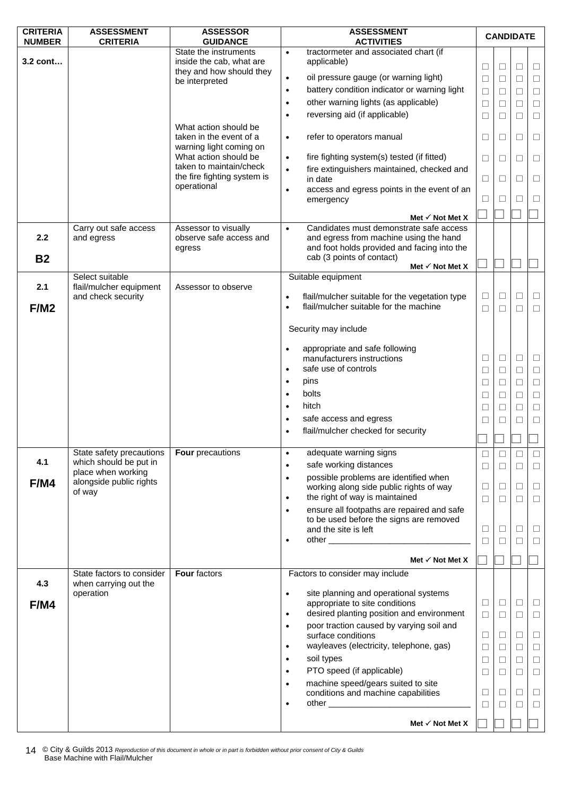| <b>CRITERIA</b><br><b>NUMBER</b> | <b>ASSESSMENT</b><br><b>CRITERIA</b>               | <b>ASSESSOR</b><br><b>GUIDANCE</b>                 |                        | <b>ASSESSMENT</b><br><b>ACTIVITIES</b>                                                                                                                                                                                                                               | <b>CANDIDATE</b> |        |        |          |
|----------------------------------|----------------------------------------------------|----------------------------------------------------|------------------------|----------------------------------------------------------------------------------------------------------------------------------------------------------------------------------------------------------------------------------------------------------------------|------------------|--------|--------|----------|
|                                  |                                                    | State the instruments                              | $\bullet$              | tractormeter and associated chart (if                                                                                                                                                                                                                                |                  |        |        |          |
| $3.2$ cont                       |                                                    | inside the cab, what are                           |                        | applicable)                                                                                                                                                                                                                                                          | $\Box$           | $\Box$ | $\Box$ | $\Box$   |
|                                  |                                                    | they and how should they<br>be interpreted         | $\bullet$              | oil pressure gauge (or warning light)                                                                                                                                                                                                                                | $\Box$           | $\Box$ | $\Box$ | $\Box$   |
|                                  |                                                    |                                                    | $\bullet$              | battery condition indicator or warning light                                                                                                                                                                                                                         | $\Box$           | □      | □      | $\Box$   |
|                                  |                                                    |                                                    | $\bullet$              | other warning lights (as applicable)                                                                                                                                                                                                                                 | $\Box$           | $\Box$ | $\Box$ | $\Box$   |
|                                  |                                                    |                                                    | $\bullet$              | reversing aid (if applicable)                                                                                                                                                                                                                                        | $\Box$           | $\Box$ | $\Box$ | $\Box$   |
|                                  |                                                    | What action should be                              |                        |                                                                                                                                                                                                                                                                      |                  |        |        |          |
|                                  |                                                    | taken in the event of a<br>warning light coming on | $\bullet$              | refer to operators manual                                                                                                                                                                                                                                            | □                | ⊔      | ⊔      | Ц        |
|                                  |                                                    | What action should be                              | $\bullet$              | fire fighting system(s) tested (if fitted)                                                                                                                                                                                                                           | $\Box$           | □      | □      | $\Box$   |
|                                  |                                                    | taken to maintain/check                            | $\bullet$              | fire extinguishers maintained, checked and                                                                                                                                                                                                                           |                  |        |        |          |
|                                  |                                                    | the fire fighting system is<br>operational         |                        | in date                                                                                                                                                                                                                                                              | $\Box$           | □      | $\Box$ | $\Box$   |
|                                  |                                                    |                                                    | $\bullet$              | access and egress points in the event of an<br>emergency                                                                                                                                                                                                             | $\Box$           | ⊔      | П      | $\Box$   |
|                                  |                                                    |                                                    |                        |                                                                                                                                                                                                                                                                      |                  |        |        |          |
|                                  | Carry out safe access                              | Assessor to visually                               | $\bullet$              | Met $\checkmark$ Not Met X<br>Candidates must demonstrate safe access                                                                                                                                                                                                |                  |        |        |          |
| 2.2                              | and egress                                         | observe safe access and                            |                        | and egress from machine using the hand                                                                                                                                                                                                                               |                  |        |        |          |
|                                  |                                                    | egress                                             |                        | and foot holds provided and facing into the                                                                                                                                                                                                                          |                  |        |        |          |
| <b>B2</b>                        |                                                    |                                                    |                        | cab (3 points of contact)<br>Met $\checkmark$ Not Met X                                                                                                                                                                                                              |                  |        |        |          |
|                                  | Select suitable                                    |                                                    |                        | Suitable equipment                                                                                                                                                                                                                                                   |                  |        |        |          |
| 2.1                              | flail/mulcher equipment                            | Assessor to observe                                |                        |                                                                                                                                                                                                                                                                      |                  |        |        |          |
|                                  | and check security                                 |                                                    | $\bullet$<br>$\bullet$ | flail/mulcher suitable for the vegetation type<br>flail/mulcher suitable for the machine                                                                                                                                                                             | $\Box$           | ⊔      | □      | $\Box$   |
| F/M2                             |                                                    |                                                    |                        |                                                                                                                                                                                                                                                                      | $\Box$           | $\Box$ | $\Box$ | $\Box$   |
|                                  |                                                    |                                                    |                        | Security may include                                                                                                                                                                                                                                                 |                  |        |        |          |
|                                  |                                                    |                                                    | $\bullet$              | appropriate and safe following                                                                                                                                                                                                                                       |                  |        |        |          |
|                                  |                                                    |                                                    |                        | manufacturers instructions                                                                                                                                                                                                                                           | $\Box$           | $\Box$ | $\Box$ | $\Box$   |
|                                  |                                                    |                                                    | $\bullet$              | safe use of controls                                                                                                                                                                                                                                                 | $\Box$           | $\Box$ | $\Box$ | $\Box$   |
|                                  |                                                    |                                                    | $\bullet$              | pins                                                                                                                                                                                                                                                                 | $\Box$           | □      | $\Box$ | $\Box$   |
|                                  |                                                    |                                                    | $\bullet$              | bolts                                                                                                                                                                                                                                                                | ⊔                | L      | □      | $\Box$   |
|                                  |                                                    |                                                    | $\bullet$              | hitch                                                                                                                                                                                                                                                                | $\Box$           | $\Box$ | $\Box$ | $\Box$   |
|                                  |                                                    |                                                    | $\bullet$              | safe access and egress                                                                                                                                                                                                                                               | □                | П      | П      | $\Box$   |
|                                  |                                                    |                                                    | $\bullet$              | flail/mulcher checked for security                                                                                                                                                                                                                                   |                  |        |        |          |
|                                  |                                                    |                                                    |                        |                                                                                                                                                                                                                                                                      |                  |        |        |          |
| 4.1                              | State safety precautions<br>which should be put in | <b>Four</b> precautions                            | $\bullet$<br>$\bullet$ | adequate warning signs<br>safe working distances                                                                                                                                                                                                                     | □                |        | ⊔      | ⊔        |
|                                  | place when working                                 |                                                    | $\bullet$              | possible problems are identified when                                                                                                                                                                                                                                | $\Box$           | $\Box$ | □      | $\Box$   |
| F/M4                             | alongside public rights                            |                                                    |                        | working along side public rights of way                                                                                                                                                                                                                              | $\Box$           | $\Box$ | $\Box$ | $\Box$   |
|                                  | of way                                             |                                                    | $\bullet$              | the right of way is maintained                                                                                                                                                                                                                                       | □                | $\Box$ | П      | $\Box$   |
|                                  |                                                    |                                                    | $\bullet$              | ensure all footpaths are repaired and safe                                                                                                                                                                                                                           |                  |        |        |          |
|                                  |                                                    |                                                    |                        | to be used before the signs are removed<br>and the site is left                                                                                                                                                                                                      | $\Box$           | $\Box$ | $\Box$ | $\sqcup$ |
|                                  |                                                    |                                                    | $\bullet$              |                                                                                                                                                                                                                                                                      | $\Box$           | П      | $\Box$ | $\Box$   |
|                                  |                                                    |                                                    |                        |                                                                                                                                                                                                                                                                      |                  |        |        |          |
|                                  |                                                    |                                                    |                        | Met $\checkmark$ Not Met X                                                                                                                                                                                                                                           |                  |        |        |          |
| 4.3                              | State factors to consider<br>when carrying out the | Four factors                                       |                        | Factors to consider may include                                                                                                                                                                                                                                      |                  |        |        |          |
|                                  | operation                                          |                                                    | $\bullet$              | site planning and operational systems                                                                                                                                                                                                                                |                  |        |        |          |
| F/M4                             |                                                    |                                                    |                        | appropriate to site conditions                                                                                                                                                                                                                                       | $\Box$           | $\Box$ | $\Box$ | $\Box$   |
|                                  |                                                    |                                                    | $\bullet$              | desired planting position and environment                                                                                                                                                                                                                            | $\Box$           | $\Box$ | $\Box$ | $\Box$   |
|                                  |                                                    |                                                    | $\bullet$              | poor traction caused by varying soil and<br>surface conditions                                                                                                                                                                                                       | $\Box$           | ⊔      | $\Box$ | $\Box$   |
|                                  |                                                    |                                                    | $\bullet$              | wayleaves (electricity, telephone, gas)                                                                                                                                                                                                                              | $\Box$           | ⊔      | $\Box$ | $\Box$   |
|                                  |                                                    |                                                    | $\bullet$              | soil types                                                                                                                                                                                                                                                           | $\Box$           | $\Box$ | $\Box$ | $\Box$   |
|                                  |                                                    |                                                    | $\bullet$              | PTO speed (if applicable)                                                                                                                                                                                                                                            | $\Box$           | □      | $\Box$ | $\Box$   |
|                                  |                                                    |                                                    | $\bullet$              | machine speed/gears suited to site                                                                                                                                                                                                                                   |                  |        |        |          |
|                                  |                                                    |                                                    |                        | conditions and machine capabilities<br>other and the contract of the contract of the contract of the contract of the contract of the contract of the contract of the contract of the contract of the contract of the contract of the contract of the contract of the | $\Box$           | ⊔      | □      | □        |
|                                  |                                                    |                                                    | $\bullet$              |                                                                                                                                                                                                                                                                      | $\Box$           | $\Box$ | $\Box$ | $\Box$   |
|                                  |                                                    |                                                    |                        | Met $\checkmark$ Not Met X                                                                                                                                                                                                                                           |                  |        |        |          |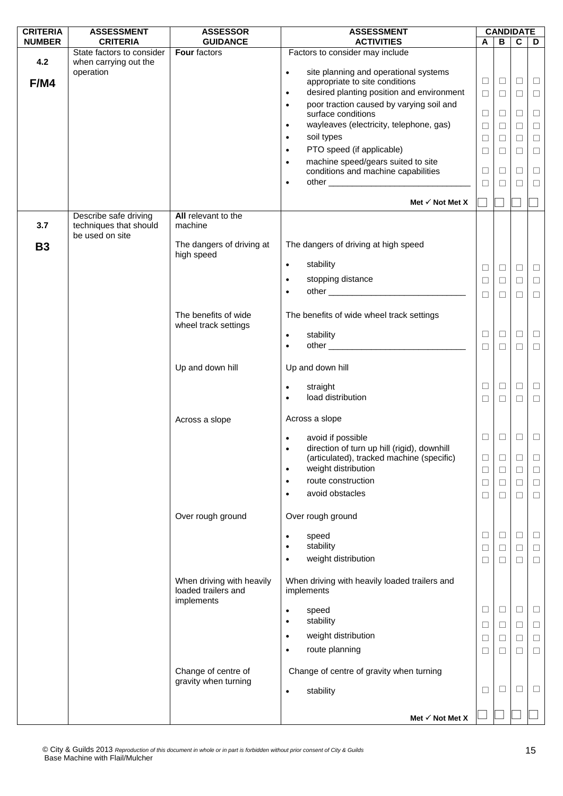| <b>CRITERIA</b> | <b>ASSESSMENT</b>                                                  | <b>ASSESSOR</b>                                                | <b>ASSESSMENT</b>                                                | <b>CANDIDATE</b> |        |                |        |
|-----------------|--------------------------------------------------------------------|----------------------------------------------------------------|------------------------------------------------------------------|------------------|--------|----------------|--------|
| <b>NUMBER</b>   | <b>CRITERIA</b>                                                    | <b>GUIDANCE</b>                                                | <b>ACTIVITIES</b>                                                | A                | B      | $\overline{c}$ | D      |
|                 | State factors to consider                                          | Four factors                                                   | Factors to consider may include                                  |                  |        |                |        |
| 4.2             | when carrying out the<br>operation                                 |                                                                | site planning and operational systems<br>$\bullet$               |                  |        |                |        |
| F/M4            |                                                                    |                                                                | appropriate to site conditions                                   | □                | $\Box$ | $\Box$         | $\Box$ |
|                 |                                                                    |                                                                | desired planting position and environment<br>$\bullet$           | □                | $\Box$ | □              | $\Box$ |
|                 |                                                                    |                                                                | poor traction caused by varying soil and<br>$\bullet$            |                  |        |                |        |
|                 |                                                                    |                                                                | surface conditions                                               | $\Box$           | $\Box$ | $\Box$         | $\Box$ |
|                 |                                                                    |                                                                | wayleaves (electricity, telephone, gas)<br>$\bullet$             | $\Box$           | $\Box$ | $\Box$         | $\Box$ |
|                 |                                                                    |                                                                | soil types<br>$\bullet$                                          | $\Box$           | $\Box$ | $\Box$         | $\Box$ |
|                 |                                                                    |                                                                | PTO speed (if applicable)<br>$\bullet$                           | $\Box$           | $\Box$ | $\Box$         | $\Box$ |
|                 |                                                                    |                                                                | machine speed/gears suited to site<br>$\bullet$                  |                  |        |                |        |
|                 |                                                                    |                                                                | conditions and machine capabilities                              | $\Box$           | $\Box$ | $\Box$         | $\Box$ |
|                 |                                                                    |                                                                | $\bullet$                                                        | □                | $\Box$ | П              | $\Box$ |
|                 |                                                                    |                                                                | Met $\checkmark$ Not Met X                                       |                  |        |                |        |
|                 |                                                                    |                                                                |                                                                  |                  |        |                |        |
| 3.7             | Describe safe driving<br>techniques that should<br>be used on site | All relevant to the<br>machine                                 |                                                                  |                  |        |                |        |
| <b>B3</b>       |                                                                    | The dangers of driving at<br>high speed                        | The dangers of driving at high speed                             |                  |        |                |        |
|                 |                                                                    |                                                                | stability<br>$\bullet$                                           | □                | $\Box$ | $\Box$         | $\Box$ |
|                 |                                                                    |                                                                | stopping distance<br>$\bullet$                                   | □                | $\Box$ | □              | $\Box$ |
|                 |                                                                    |                                                                |                                                                  |                  |        |                |        |
|                 |                                                                    |                                                                |                                                                  | $\Box$           | □      | $\Box$         | $\Box$ |
|                 |                                                                    | The benefits of wide<br>wheel track settings                   | The benefits of wide wheel track settings                        |                  |        |                |        |
|                 |                                                                    |                                                                | stability<br>$\bullet$                                           | □                | $\Box$ | □              | $\Box$ |
|                 |                                                                    |                                                                | $\bullet$                                                        | $\Box$           | $\Box$ | $\Box$         | $\Box$ |
|                 |                                                                    |                                                                |                                                                  |                  |        |                |        |
|                 |                                                                    | Up and down hill                                               | Up and down hill                                                 |                  |        |                |        |
|                 |                                                                    |                                                                |                                                                  | $\Box$           | $\Box$ | $\Box$         | $\Box$ |
|                 |                                                                    |                                                                | straight<br>$\bullet$<br>load distribution<br>$\bullet$          | $\Box$           | $\Box$ | $\Box$         | $\Box$ |
|                 |                                                                    |                                                                |                                                                  |                  |        |                |        |
|                 |                                                                    | Across a slope                                                 | Across a slope                                                   |                  |        |                |        |
|                 |                                                                    |                                                                |                                                                  | $\Box$           | $\Box$ | $\Box$         | $\Box$ |
|                 |                                                                    |                                                                | avoid if possible<br>direction of turn up hill (rigid), downhill |                  |        |                |        |
|                 |                                                                    |                                                                | (articulated), tracked machine (specific)                        | □                | □      | $\Box$         | ⊔      |
|                 |                                                                    |                                                                | weight distribution<br>$\bullet$                                 | □                | $\Box$ | □              | ⊔      |
|                 |                                                                    |                                                                | route construction<br>٠                                          | $\Box$           | □      | $\Box$         | $\Box$ |
|                 |                                                                    |                                                                | avoid obstacles<br>$\bullet$                                     | ⊔                | ⊔      | П              | $\Box$ |
|                 |                                                                    |                                                                |                                                                  |                  |        |                |        |
|                 |                                                                    | Over rough ground                                              | Over rough ground                                                |                  |        |                |        |
|                 |                                                                    |                                                                | speed<br>$\bullet$                                               | ⊔                | ⊔      | □              | ⊔      |
|                 |                                                                    |                                                                | stability<br>$\bullet$                                           | □                | □      | $\Box$         | □      |
|                 |                                                                    |                                                                | weight distribution<br>٠                                         | □                | □      | $\Box$         | $\Box$ |
|                 |                                                                    | When driving with heavily<br>loaded trailers and<br>implements | When driving with heavily loaded trailers and<br>implements      |                  |        |                |        |
|                 |                                                                    |                                                                | speed<br>$\bullet$                                               | ⊔                | ⊔      | L              | Ц      |
|                 |                                                                    |                                                                | stability<br>$\bullet$                                           |                  |        | $\Box$         |        |
|                 |                                                                    |                                                                | weight distribution<br>$\bullet$                                 | □                | □      |                | $\Box$ |
|                 |                                                                    |                                                                | route planning                                                   | □                | ⊔      | □              | $\Box$ |
|                 |                                                                    |                                                                | $\bullet$                                                        | □                | □      | $\Box$         | $\Box$ |
|                 |                                                                    | Change of centre of<br>gravity when turning                    | Change of centre of gravity when turning                         |                  |        |                |        |
|                 |                                                                    |                                                                | stability<br>$\bullet$                                           | $\sqcup$         | ⊔      | $\Box$         | $\Box$ |
|                 |                                                                    |                                                                |                                                                  |                  |        |                |        |
|                 |                                                                    |                                                                | Met $\checkmark$ Not Met X                                       |                  |        |                |        |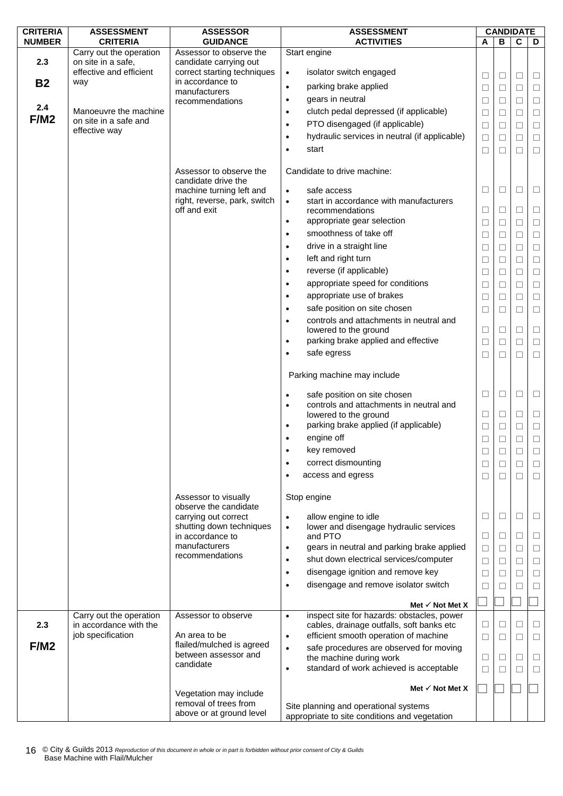| <b>CRITERIA</b> | <b>ASSESSMENT</b>                             | <b>ASSESSOR</b>                                          | <b>ASSESSMENT</b>                                                                     | <b>CANDIDATE</b> |        |        |        |
|-----------------|-----------------------------------------------|----------------------------------------------------------|---------------------------------------------------------------------------------------|------------------|--------|--------|--------|
| <b>NUMBER</b>   | <b>CRITERIA</b>                               | <b>GUIDANCE</b>                                          | <b>ACTIVITIES</b>                                                                     | A                | B      | C      | D      |
|                 | Carry out the operation                       | Assessor to observe the                                  | Start engine                                                                          |                  |        |        |        |
| 2.3             | on site in a safe,<br>effective and efficient | candidate carrying out<br>correct starting techniques    | isolator switch engaged<br>$\bullet$                                                  |                  |        |        |        |
| <b>B2</b>       | way                                           | in accordance to                                         |                                                                                       | $\Box$           | $\Box$ | $\Box$ | $\Box$ |
|                 |                                               | manufacturers                                            | parking brake applied<br>$\bullet$                                                    | $\Box$           | $\Box$ | $\Box$ | $\Box$ |
|                 |                                               | recommendations                                          | gears in neutral<br>$\bullet$                                                         | $\Box$           | □      | $\Box$ | $\Box$ |
| 2.4             | Manoeuvre the machine                         |                                                          | clutch pedal depressed (if applicable)<br>$\bullet$                                   | $\Box$           | □      | $\Box$ | $\Box$ |
| F/M2            | on site in a safe and                         |                                                          | PTO disengaged (if applicable)<br>$\bullet$                                           | $\Box$           | □      | $\Box$ | $\Box$ |
|                 | effective way                                 |                                                          | hydraulic services in neutral (if applicable)<br>$\bullet$                            | $\Box$           | $\Box$ | $\Box$ | $\Box$ |
|                 |                                               |                                                          | start<br>$\bullet$                                                                    | $\Box$           | $\Box$ | П      | $\Box$ |
|                 |                                               | Assessor to observe the                                  | Candidate to drive machine:                                                           |                  |        |        |        |
|                 |                                               | candidate drive the                                      |                                                                                       | $\Box$           | $\Box$ | □      |        |
|                 |                                               | machine turning left and<br>right, reverse, park, switch | safe access<br>$\bullet$<br>start in accordance with manufacturers                    |                  |        |        | $\Box$ |
|                 |                                               | off and exit                                             | $\bullet$<br>recommendations                                                          | $\Box$           | □      | □      | $\Box$ |
|                 |                                               |                                                          | appropriate gear selection<br>$\bullet$                                               | $\Box$           | $\Box$ | $\Box$ | $\Box$ |
|                 |                                               |                                                          | smoothness of take off<br>$\bullet$                                                   |                  |        | $\Box$ | $\Box$ |
|                 |                                               |                                                          | drive in a straight line                                                              | $\Box$           | $\Box$ |        |        |
|                 |                                               |                                                          | $\bullet$                                                                             | ⊔                | $\Box$ | □      | $\Box$ |
|                 |                                               |                                                          | left and right turn<br>$\bullet$                                                      | $\Box$           | $\Box$ | $\Box$ | $\Box$ |
|                 |                                               |                                                          | reverse (if applicable)<br>$\bullet$                                                  | $\Box$           | $\Box$ | □      | $\Box$ |
|                 |                                               |                                                          | appropriate speed for conditions<br>$\bullet$                                         | $\Box$           | L      | □      | $\Box$ |
|                 |                                               |                                                          | appropriate use of brakes<br>$\bullet$                                                | $\Box$           | $\Box$ | $\Box$ | $\Box$ |
|                 |                                               |                                                          | safe position on site chosen<br>$\bullet$                                             | □                | □      | П      | $\Box$ |
|                 |                                               |                                                          | controls and attachments in neutral and<br>$\bullet$                                  |                  |        |        |        |
|                 |                                               |                                                          | lowered to the ground                                                                 | $\Box$           | ⊔      | □      | $\Box$ |
|                 |                                               |                                                          | parking brake applied and effective<br>$\bullet$                                      | $\Box$           | $\Box$ | $\Box$ | $\Box$ |
|                 |                                               |                                                          | safe egress<br>$\bullet$                                                              | □                | $\Box$ | П      | $\Box$ |
|                 |                                               |                                                          | Parking machine may include                                                           |                  |        |        |        |
|                 |                                               |                                                          | safe position on site chosen<br>$\bullet$                                             | $\Box$           | $\Box$ | $\Box$ | $\Box$ |
|                 |                                               |                                                          | controls and attachments in neutral and<br>$\bullet$                                  |                  |        |        |        |
|                 |                                               |                                                          | lowered to the ground                                                                 | $\Box$           | ⊔      | □      | $\Box$ |
|                 |                                               |                                                          | parking brake applied (if applicable)<br>$\bullet$                                    | $\Box$           | $\Box$ | $\Box$ | $\Box$ |
|                 |                                               |                                                          | engine off                                                                            | $\Box$           | $\Box$ | $\Box$ | $\Box$ |
|                 |                                               |                                                          | key removed                                                                           | $\Box$           | $\Box$ | $\Box$ | $\Box$ |
|                 |                                               |                                                          | correct dismounting<br>$\bullet$                                                      | □                | $\Box$ | $\Box$ | $\Box$ |
|                 |                                               |                                                          | access and egress<br>٠                                                                | □                | $\Box$ | $\Box$ | $\Box$ |
|                 |                                               |                                                          |                                                                                       |                  |        |        |        |
|                 |                                               | Assessor to visually                                     | Stop engine                                                                           |                  |        |        |        |
|                 |                                               | observe the candidate                                    |                                                                                       |                  |        |        |        |
|                 |                                               | carrying out correct                                     | allow engine to idle<br>$\bullet$                                                     | $\Box$           | $\Box$ | $\Box$ | □      |
|                 |                                               | shutting down techniques                                 | lower and disengage hydraulic services<br>$\bullet$                                   |                  |        |        |        |
|                 |                                               | in accordance to<br>manufacturers                        | and PTO<br>gears in neutral and parking brake applied                                 | □                | $\Box$ | $\Box$ | $\Box$ |
|                 |                                               | recommendations                                          | $\bullet$                                                                             | ⊔                | $\Box$ | □      | □      |
|                 |                                               |                                                          | shut down electrical services/computer<br>$\bullet$                                   | $\Box$           | □      | $\Box$ | $\Box$ |
|                 |                                               |                                                          | disengage ignition and remove key<br>$\bullet$                                        | $\Box$           | L      | □      | $\Box$ |
|                 |                                               |                                                          | disengage and remove isolator switch<br>$\bullet$                                     | $\Box$           | □      | □      | $\Box$ |
|                 |                                               |                                                          |                                                                                       |                  |        |        |        |
|                 | Carry out the operation                       | Assessor to observe                                      | Met $\checkmark$ Not Met X<br>inspect site for hazards: obstacles, power<br>$\bullet$ |                  |        |        |        |
| 2.3             | in accordance with the                        |                                                          | cables, drainage outfalls, soft banks etc                                             | □                | L      | □      | □      |
|                 | job specification                             | An area to be                                            | efficient smooth operation of machine<br>$\bullet$                                    | $\Box$           | $\Box$ | $\Box$ | $\Box$ |
| F/M2            |                                               | flailed/mulched is agreed                                | safe procedures are observed for moving<br>$\bullet$                                  |                  |        |        |        |
|                 |                                               | between assessor and                                     | the machine during work                                                               | $\Box$           | □      | $\Box$ | $\Box$ |
|                 |                                               | candidate                                                | standard of work achieved is acceptable<br>$\bullet$                                  | $\Box$           | П      | П      | □      |
|                 |                                               |                                                          |                                                                                       |                  |        |        |        |
|                 |                                               | Vegetation may include                                   | Met $\checkmark$ Not Met X                                                            |                  |        |        |        |
|                 |                                               | removal of trees from                                    | Site planning and operational systems                                                 |                  |        |        |        |
|                 |                                               | above or at ground level                                 | appropriate to site conditions and vegetation                                         |                  |        |        |        |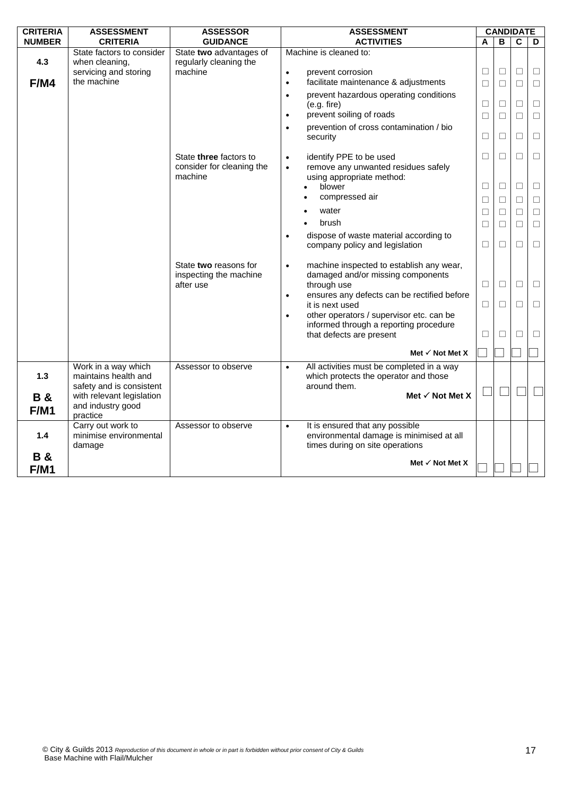| <b>CRITERIA</b>              | <b>ASSESSMENT</b>                                                       | <b>ASSESSOR</b>                                              | <b>ASSESSMENT</b>                                                                                                           |        | <b>CANDIDATE</b> |                |        |
|------------------------------|-------------------------------------------------------------------------|--------------------------------------------------------------|-----------------------------------------------------------------------------------------------------------------------------|--------|------------------|----------------|--------|
| <b>NUMBER</b>                | <b>CRITERIA</b>                                                         | <b>GUIDANCE</b>                                              | <b>ACTIVITIES</b>                                                                                                           | A      | B                | $\overline{c}$ | D      |
| 4.3                          | State factors to consider<br>when cleaning,                             | State two advantages of<br>regularly cleaning the            | Machine is cleaned to:                                                                                                      |        |                  |                |        |
|                              | servicing and storing                                                   | machine                                                      | prevent corrosion<br>$\bullet$                                                                                              | $\Box$ | $\Box$           | $\Box$         | $\Box$ |
| F/M4                         | the machine                                                             |                                                              | facilitate maintenance & adjustments<br>$\bullet$                                                                           | $\Box$ | $\Box$           | $\Box$         | $\Box$ |
|                              |                                                                         |                                                              | prevent hazardous operating conditions<br>$\bullet$<br>(e.g. fire)                                                          | $\Box$ | $\Box$           | $\Box$         | $\Box$ |
|                              |                                                                         |                                                              | prevent soiling of roads<br>$\bullet$                                                                                       | $\Box$ | $\Box$           | $\Box$         | $\Box$ |
|                              |                                                                         |                                                              | prevention of cross contamination / bio<br>security                                                                         | □      | □                | $\Box$         | $\Box$ |
|                              |                                                                         | State three factors to                                       | identify PPE to be used<br>$\bullet$                                                                                        | $\Box$ | $\Box$           | $\Box$         | $\Box$ |
|                              |                                                                         | consider for cleaning the                                    | remove any unwanted residues safely<br>$\bullet$                                                                            |        |                  |                |        |
|                              |                                                                         | machine                                                      | using appropriate method:                                                                                                   |        |                  |                |        |
|                              |                                                                         |                                                              | blower                                                                                                                      | $\Box$ | $\Box$           | $\Box$         | $\Box$ |
|                              |                                                                         |                                                              | compressed air                                                                                                              | $\Box$ | $\Box$           | $\Box$         | $\Box$ |
|                              |                                                                         |                                                              | water                                                                                                                       | □      | $\Box$           | $\Box$         | $\Box$ |
|                              |                                                                         |                                                              | brush                                                                                                                       | □      | □                | $\Box$         | $\Box$ |
|                              |                                                                         |                                                              | dispose of waste material according to<br>$\bullet$<br>company policy and legislation                                       | $\Box$ | $\Box$           | $\Box$         | $\Box$ |
|                              |                                                                         | State two reasons for<br>inspecting the machine<br>after use | machine inspected to establish any wear,<br>$\bullet$<br>damaged and/or missing components<br>through use                   | $\Box$ | $\Box$           | $\Box$         | $\Box$ |
|                              |                                                                         |                                                              | ensures any defects can be rectified before<br>$\bullet$<br>it is next used                                                 | $\Box$ | П                | П              | $\Box$ |
|                              |                                                                         |                                                              | other operators / supervisor etc. can be<br>informed through a reporting procedure<br>that defects are present              | □      | □                | П              | □      |
|                              |                                                                         |                                                              | Met $\checkmark$ Not Met X                                                                                                  |        |                  |                |        |
| $1.3$                        | Work in a way which<br>maintains health and<br>safety and is consistent | Assessor to observe                                          | All activities must be completed in a way<br>$\bullet$<br>which protects the operator and those<br>around them.             |        |                  |                |        |
| <b>B&amp;</b>                | with relevant legislation                                               |                                                              | Met √ Not Met X                                                                                                             |        |                  |                |        |
| <b>F/M1</b>                  | and industry good<br>practice                                           |                                                              |                                                                                                                             |        |                  |                |        |
| 1.4                          | Carry out work to<br>minimise environmental<br>damage                   | Assessor to observe                                          | It is ensured that any possible<br>$\bullet$<br>environmental damage is minimised at all<br>times during on site operations |        |                  |                |        |
| <b>B&amp;</b><br><b>F/M1</b> |                                                                         |                                                              | Met $\checkmark$ Not Met X                                                                                                  |        |                  |                |        |